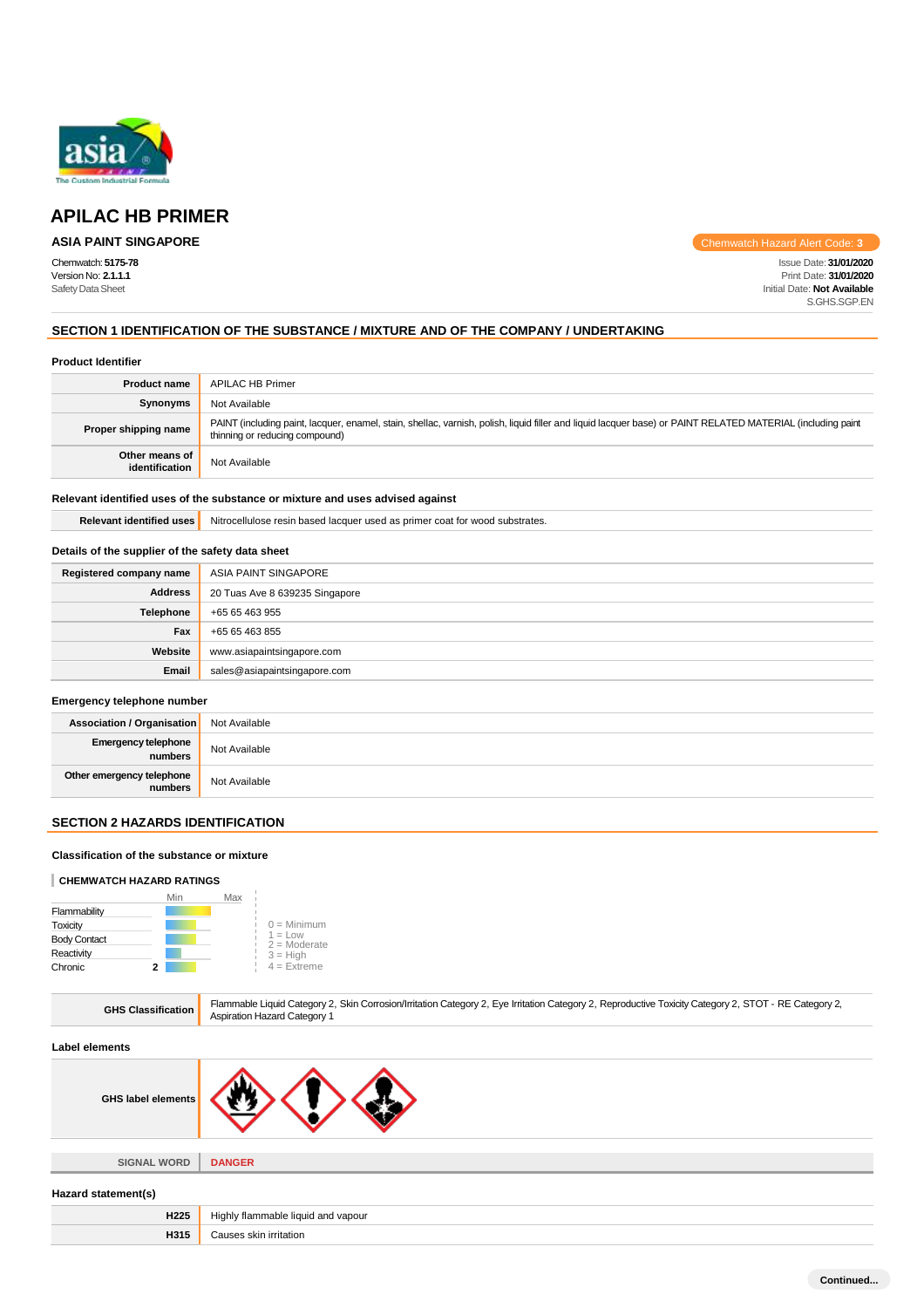

## **APILAC HB PRIMER**

## **ASIA PAINT SINGAPORE**

Chemwatch Hazard Alert Code: **3**

Chemwatch: **5175-78** Issue Date: **31/01/2020** Version No: **2.1.1.1** Print Date: **31/01/2020** SafetyDataSheet Initial Date: **Not Available** S.GHS.SGP.EN

## **SECTION 1 IDENTIFICATION OF THE SUBSTANCE / MIXTURE AND OF THE COMPANY / UNDERTAKING**

### **Product Identifier**

| <b>Product name</b>              | <b>APILAC HB Primer</b>                                                                                                                                                                       |
|----------------------------------|-----------------------------------------------------------------------------------------------------------------------------------------------------------------------------------------------|
| Synonyms                         | Not Available                                                                                                                                                                                 |
| Proper shipping name             | PAINT (including paint, lacquer, enamel, stain, shellac, varnish, polish, liquid filler and liquid lacquer base) or PAINT RELATED MATERIAL (including paint<br>thinning or reducing compound) |
| Other means of<br>identification | Not Available                                                                                                                                                                                 |

## **Relevant identified uses of the substance or mixture and uses advised against**

**Relevant identified uses** Nitrocellulose resin based lacquer used as primer coat for wood substrates.

## **Details of the supplier of the safety data sheet**

| Registered company name | ASIA PAINT SINGAPORE           |
|-------------------------|--------------------------------|
| <b>Address</b>          | 20 Tuas Ave 8 639235 Singapore |
| Telephone               | +65 65 463 955                 |
| Fax                     | +65 65 463 855                 |
| Website                 | www.asiapaintsingapore.com     |
| Email                   | sales@asiapaintsingapore.com   |

### **Emergency telephone number**

| <b>Association / Organisation</b>    | Not Available |
|--------------------------------------|---------------|
| Emergency telephone<br>numbers       | Not Available |
| Other emergency telephone<br>numbers | Not Available |

## **SECTION 2 HAZARDS IDENTIFICATION**

### **Classification of the substance or mixture**

### **CHEMWATCH HAZARD RATINGS**

|                     |   | Min | Max |                             |
|---------------------|---|-----|-----|-----------------------------|
| Flammability        |   |     |     |                             |
| Toxicity            |   |     |     | $0 =$ Minimum               |
| <b>Body Contact</b> |   |     |     | $1 = Low$<br>$2 =$ Moderate |
| Reactivity          |   |     |     | $3 = High$                  |
| Chronic             | 2 |     |     | $4 =$ Extreme               |
|                     |   |     |     |                             |

**H315** Causes skin irritation

| <b>GHS Classification</b> | Flammable Liquid Category 2, Skin Corrosion/Irritation Category 2, Eye Irritation Category 2, Reproductive Toxicity Category 2, STOT - RE Category 2,<br><b>Aspiration Hazard Category 1</b> |  |  |
|---------------------------|----------------------------------------------------------------------------------------------------------------------------------------------------------------------------------------------|--|--|
| Label elements            |                                                                                                                                                                                              |  |  |
| <b>GHS label elements</b> |                                                                                                                                                                                              |  |  |
| <b>SIGNAL WORD</b>        | <b>DANGER</b>                                                                                                                                                                                |  |  |
| Hazard statement(s)       |                                                                                                                                                                                              |  |  |
| H <sub>225</sub>          | Highly flammable liquid and vapour                                                                                                                                                           |  |  |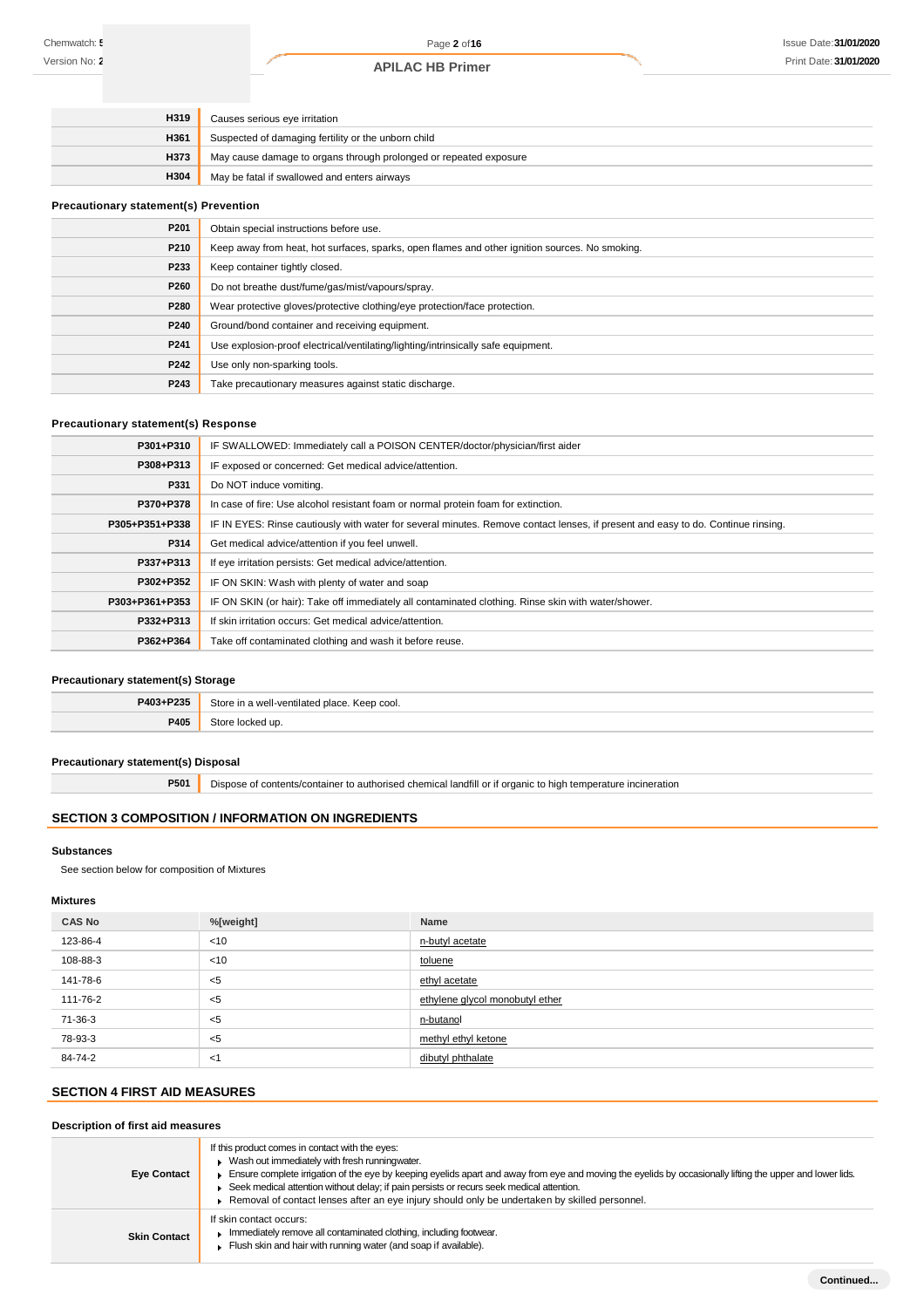| H319 | Causes serious eye irritation                                     |
|------|-------------------------------------------------------------------|
| H361 | Suspected of damaging fertility or the unborn child               |
| H373 | May cause damage to organs through prolonged or repeated exposure |
| H304 | May be fatal if swallowed and enters airways                      |

### **Precautionary statement(s) Prevention**

| P201 | Obtain special instructions before use.                                                        |
|------|------------------------------------------------------------------------------------------------|
| P210 | Keep away from heat, hot surfaces, sparks, open flames and other ignition sources. No smoking. |
| P233 | Keep container tightly closed.                                                                 |
| P260 | Do not breathe dust/fume/gas/mist/vapours/spray.                                               |
| P280 | Wear protective gloves/protective clothing/eye protection/face protection.                     |
| P240 | Ground/bond container and receiving equipment.                                                 |
| P241 | Use explosion-proof electrical/ventilating/lighting/intrinsically safe equipment.              |
| P242 | Use only non-sparking tools.                                                                   |
| P243 | Take precautionary measures against static discharge.                                          |

### **Precautionary statement(s) Response**

| P301+P310      | IF SWALLOWED: Immediately call a POISON CENTER/doctor/physician/first aider                                                      |
|----------------|----------------------------------------------------------------------------------------------------------------------------------|
| P308+P313      | IF exposed or concerned: Get medical advice/attention.                                                                           |
| P331           | Do NOT induce vomiting.                                                                                                          |
| P370+P378      | In case of fire: Use alcohol resistant foam or normal protein foam for extinction.                                               |
| P305+P351+P338 | IF IN EYES: Rinse cautiously with water for several minutes. Remove contact lenses, if present and easy to do. Continue rinsing. |
| P314           | Get medical advice/attention if you feel unwell.                                                                                 |
| P337+P313      | If eye irritation persists: Get medical advice/attention.                                                                        |
| P302+P352      | IF ON SKIN: Wash with plenty of water and soap                                                                                   |
| P303+P361+P353 | IF ON SKIN (or hair): Take off immediately all contaminated clothing. Rinse skin with water/shower.                              |
| P332+P313      | If skin irritation occurs: Get medical advice/attention.                                                                         |
| P362+P364      | Take off contaminated clothing and wash it before reuse.                                                                         |

## **Precautionary statement(s) Storage**

| P403+P235 | Store in a well-ventilated place. Keep cool. |
|-----------|----------------------------------------------|
| P405      | $2$ tore<br>≅cked up.                        |

## **Precautionary statement(s) Disposal**

**P501** Dispose of contents/container to authorised chemical landfill or if organic to high temperature incineration

## **SECTION 3 COMPOSITION / INFORMATION ON INGREDIENTS**

## **Substances**

See section below for composition of Mixtures

### **Mixtures**

| <b>CAS No</b> | %[weight] | Name                            |
|---------------|-----------|---------------------------------|
| 123-86-4      | < 10      | n-butyl acetate                 |
| 108-88-3      | < 10      | toluene                         |
| 141-78-6      | $5$       | ethyl acetate                   |
| 111-76-2      | $5$       | ethylene glycol monobutyl ether |
| 71-36-3       | $<$ 5     | n-butanol                       |
| 78-93-3       | $5$       | methyl ethyl ketone             |
| 84-74-2       | $<$ 1     | dibutyl phthalate               |

## **SECTION 4 FIRST AID MEASURES**

### **Description of first aid measures**

| <b>Eye Contact</b>  | If this product comes in contact with the eyes:<br>Wash out immediately with fresh runningwater.<br>Ensure complete irrigation of the eye by keeping eyelids apart and away from eye and moving the eyelids by occasionally lifting the upper and lower lids.<br>Seek medical attention without delay; if pain persists or recurs seek medical attention.<br>$\triangleright$ Removal of contact lenses after an eye injury should only be undertaken by skilled personnel. |
|---------------------|-----------------------------------------------------------------------------------------------------------------------------------------------------------------------------------------------------------------------------------------------------------------------------------------------------------------------------------------------------------------------------------------------------------------------------------------------------------------------------|
| <b>Skin Contact</b> | If skin contact occurs:<br>Immediately remove all contaminated clothing, including footwear.<br>Flush skin and hair with running water (and soap if available).                                                                                                                                                                                                                                                                                                             |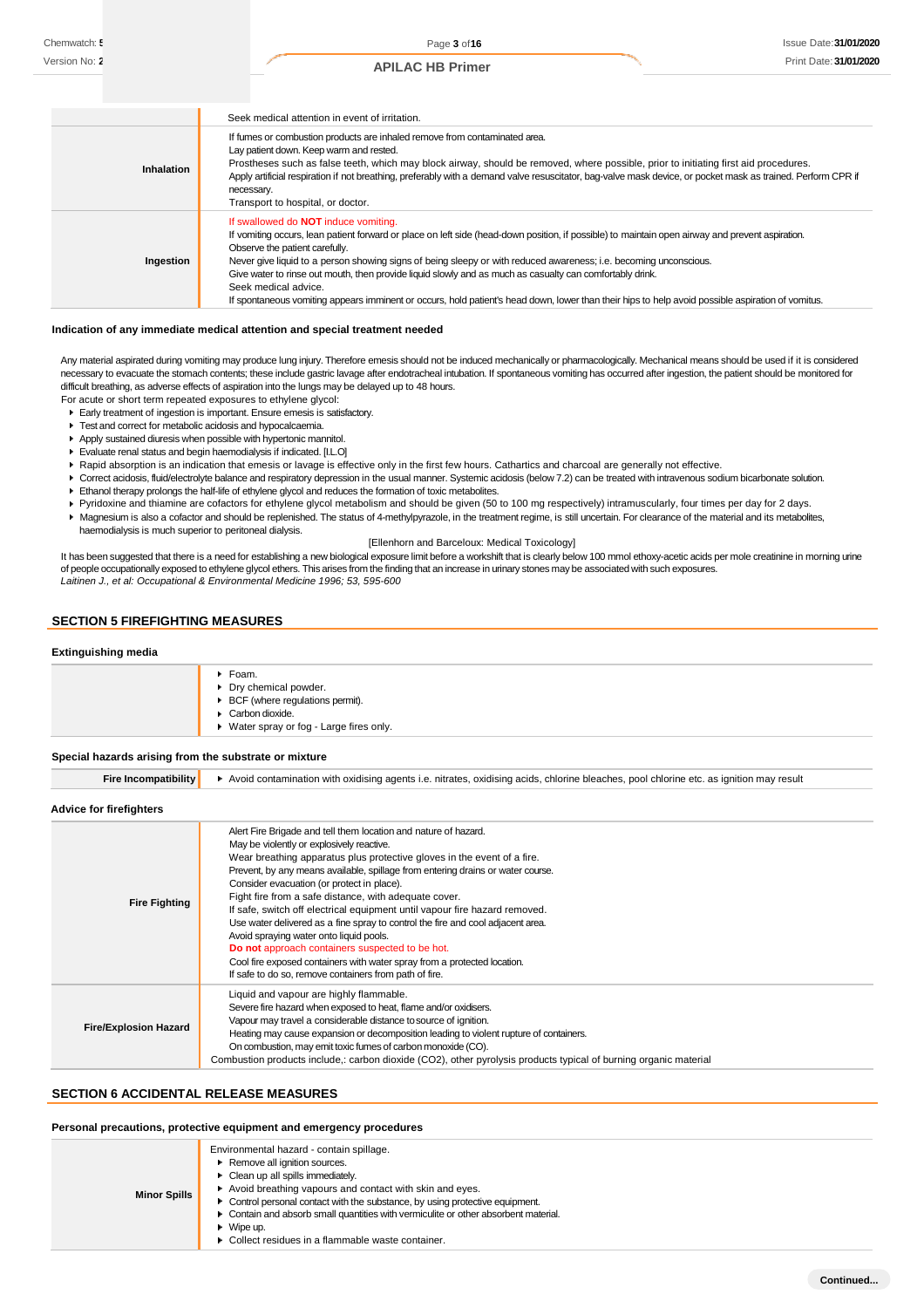Page **3** of**16** Issue Date:**31/01/2020 Print Date: 31/01/2020** 

| <b>APILAC HB Primer</b> |  |
|-------------------------|--|
|-------------------------|--|

|                   | Seek medical attention in event of irritation.                                                                                                                                                                                                                                                                                                                                                                                                                                                                                                                                                                                                  |
|-------------------|-------------------------------------------------------------------------------------------------------------------------------------------------------------------------------------------------------------------------------------------------------------------------------------------------------------------------------------------------------------------------------------------------------------------------------------------------------------------------------------------------------------------------------------------------------------------------------------------------------------------------------------------------|
| <b>Inhalation</b> | If fumes or combustion products are inhaled remove from contaminated area.<br>Lay patient down. Keep warm and rested.<br>Prostheses such as false teeth, which may block airway, should be removed, where possible, prior to initiating first aid procedures.<br>Apply artificial respiration if not breathing, preferably with a demand valve resuscitator, bag-valve mask device, or pocket mask as trained. Perform CPR if<br>necessary.<br>Transport to hospital, or doctor.                                                                                                                                                                |
| Ingestion         | If swallowed do <b>NOT</b> induce vomiting.<br>If vomiting occurs, lean patient forward or place on left side (head-down position, if possible) to maintain open airway and prevent aspiration.<br>Observe the patient carefully.<br>Never give liquid to a person showing signs of being sleepy or with reduced awareness; i.e. becoming unconscious.<br>Give water to rinse out mouth, then provide liquid slowly and as much as casualty can comfortably drink.<br>Seek medical advice.<br>If spontaneous vomiting appears imminent or occurs, hold patient's head down, lower than their hips to help avoid possible aspiration of vomitus. |

### **Indication of any immediate medical attention and special treatment needed**

Any material aspirated during vomiting may produce lung injury. Therefore emesis should not be induced mechanically or pharmacologically. Mechanical means should be used if it is considered necessary to evacuate the stomach contents; these include gastric lavage after endotracheal intubation. If spontaneous vomiting has occurred after ingestion, the patient should be monitored for difficult breathing, as adverse effects of aspiration into the lungs may be delayed up to 48 hours.

- For acute or short term repeated exposures to ethylene glycol: Early treatment of ingestion is important. Ensure emesis is satisfactory.
- **F** Test and correct for metabolic acidosis and hypocalcaemia.
- Apply sustained diuresis when possible with hypertonic mannitol.
- Evaluate renal status and begin haemodialysis if indicated. [I.L.O]
- Rapid absorption is an indication that emesis or lavage is effective only in the first few hours. Cathartics and charcoal are generally not effective.
- ▶ Correct acidosis, fluid/electrolyte balance and respiratory depression in the usual manner. Systemic acidosis (below 7.2) can be treated with intravenous sodium bicarbonate solution.
- Ethanol therapy prolongs the half-life of ethylene glycol and reduces the formation of toxic metabolites.
- Pyridoxine and thiamine are cofactors for ethylene glycol metabolism and should be given (50 to 100 mg respectively) intramuscularly, four times per day for 2 days.
- Magnesium is also a cofactor and should be replenished. The status of 4-methylpyrazole, in the treatment regime, is still uncertain. For clearance of the material and its metabolites, haemodialysis is much superior to peritoneal dialysis.

### [Ellenhorn and Barceloux: Medical Toxicology]

It has been suggested that there is a need for establishing a new biological exposure limit before a workshift that is clearly below 100 mmol ethoxy-acetic acids per mole creatinine in morning urine of people occupationally exposed to ethylene glycol ethers. This arises from the finding that an increase in urinary stones may be associated with such exposures.<br>Laitinen J., et al: Occupational & Environmental Medicine 1

## **SECTION 5 FIREFIGHTING MEASURES**

### **Extinguishing media**

| $\blacktriangleright$ Foam.              |
|------------------------------------------|
| • Dry chemical powder.                   |
| ▶ BCF (where regulations permit).        |
| $\triangleright$ Carbon dioxide.         |
| ▶ Water spray or fog - Large fires only. |
|                                          |

**Special hazards arising from the substrate or mixture**

Fire Incompatibility | Avoid contamination with oxidising agents i.e. nitrates, oxidising acids, chlorine bleaches, pool chlorine etc. as ignition may result

### **Advice for firefighters**

| <b>Fire Fighting</b>         | Alert Fire Brigade and tell them location and nature of hazard.<br>May be violently or explosively reactive.<br>Wear breathing apparatus plus protective gloves in the event of a fire.<br>Prevent, by any means available, spillage from entering drains or water course.<br>Consider evacuation (or protect in place).<br>Fight fire from a safe distance, with adequate cover.<br>If safe, switch off electrical equipment until vapour fire hazard removed.<br>Use water delivered as a fine spray to control the fire and cool adjacent area.<br>Avoid spraying water onto liquid pools.<br>Do not approach containers suspected to be hot.<br>Cool fire exposed containers with water spray from a protected location.<br>If safe to do so, remove containers from path of fire. |
|------------------------------|----------------------------------------------------------------------------------------------------------------------------------------------------------------------------------------------------------------------------------------------------------------------------------------------------------------------------------------------------------------------------------------------------------------------------------------------------------------------------------------------------------------------------------------------------------------------------------------------------------------------------------------------------------------------------------------------------------------------------------------------------------------------------------------|
| <b>Fire/Explosion Hazard</b> | Liquid and vapour are highly flammable.<br>Severe fire hazard when exposed to heat, flame and/or oxidisers.<br>Vapour may travel a considerable distance to source of ignition.<br>Heating may cause expansion or decomposition leading to violent rupture of containers.<br>On combustion, may emit toxic fumes of carbon monoxide (CO).<br>Combustion products include,: carbon dioxide (CO2), other pyrolysis products typical of burning organic material                                                                                                                                                                                                                                                                                                                          |

### **SECTION 6 ACCIDENTAL RELEASE MEASURES**

### **Personal precautions, protective equipment and emergency procedures**

|                     | Environmental hazard - contain spillage.                                            |
|---------------------|-------------------------------------------------------------------------------------|
| <b>Minor Spills</b> | Remove all ignition sources.                                                        |
|                     | • Clean up all spills immediately.                                                  |
|                     | Avoid breathing vapours and contact with skin and eyes.                             |
|                     | • Control personal contact with the substance, by using protective equipment.       |
|                     | • Contain and absorb small quantities with vermiculite or other absorbent material. |
|                     | $\bullet$ Wipe up.                                                                  |
|                     | • Collect residues in a flammable waste container.                                  |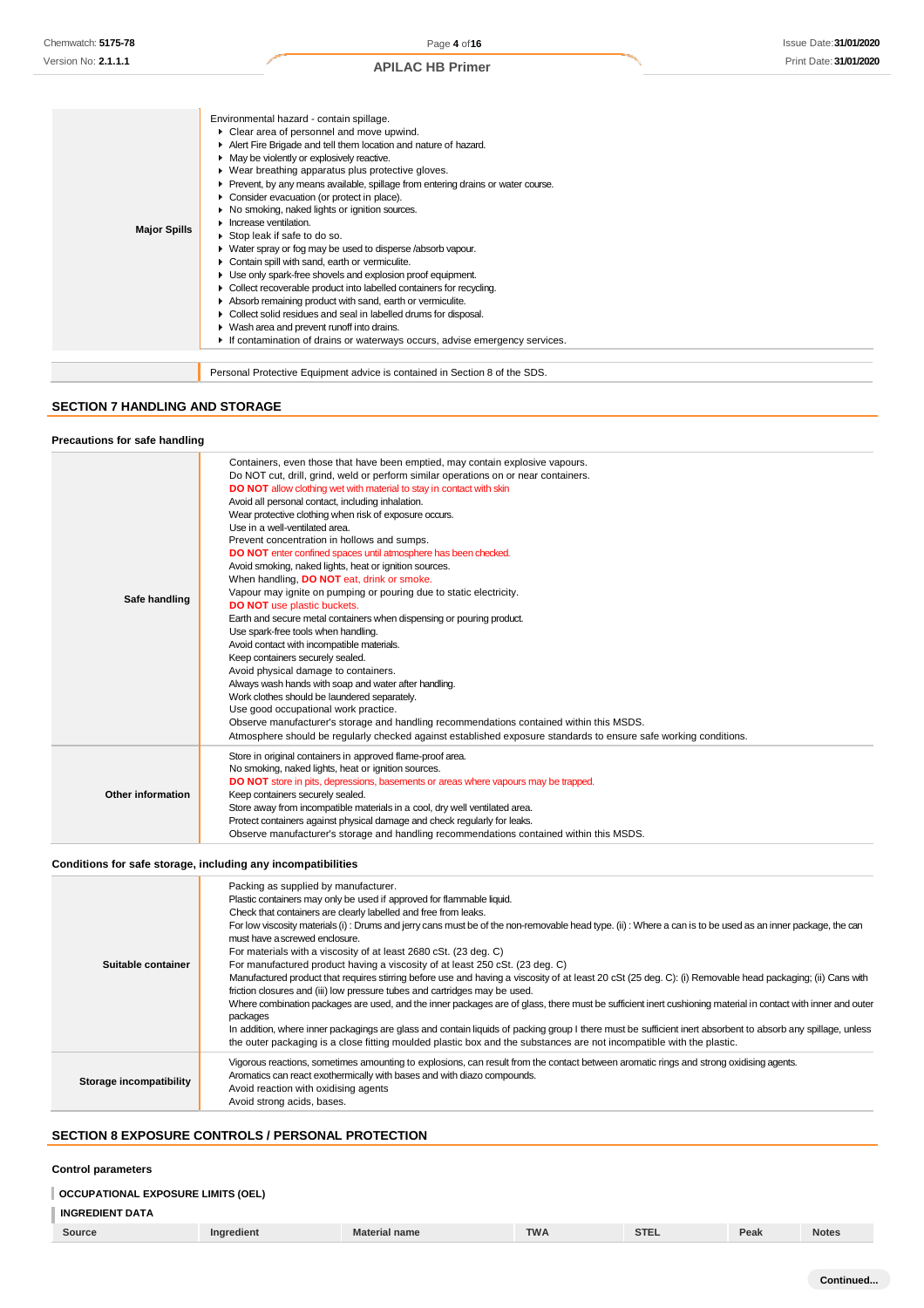|                     | Environmental hazard - contain spillage.                                          |
|---------------------|-----------------------------------------------------------------------------------|
|                     | • Clear area of personnel and move upwind.                                        |
|                     | Alert Fire Brigade and tell them location and nature of hazard.                   |
|                     | • May be violently or explosively reactive.                                       |
|                     | ▶ Wear breathing apparatus plus protective gloves.                                |
|                     | • Prevent, by any means available, spillage from entering drains or water course. |
|                     | Consider evacuation (or protect in place).                                        |
|                     | No smoking, naked lights or ignition sources.                                     |
|                     | Increase ventilation.                                                             |
| <b>Major Spills</b> | ► Stop leak if safe to do so.                                                     |
|                     | ▶ Water spray or fog may be used to disperse /absorb vapour.                      |
|                     | Contain spill with sand, earth or vermiculite.                                    |
|                     | • Use only spark-free shovels and explosion proof equipment.                      |
|                     | • Collect recoverable product into labelled containers for recycling.             |
|                     | Absorb remaining product with sand, earth or vermiculite.                         |
|                     | • Collect solid residues and seal in labelled drums for disposal.                 |
|                     | • Wash area and prevent runoff into drains.                                       |
|                     | If contamination of drains or waterways occurs, advise emergency services.        |
|                     |                                                                                   |
|                     | Personal Protective Equipment advice is contained in Section 8 of the SDS.        |

## **SECTION 7 HANDLING AND STORAGE**

### **Precautions for safe handling**

| Safe handling     | Containers, even those that have been emptied, may contain explosive vapours.<br>Do NOT cut, drill, grind, weld or perform similar operations on or near containers.<br>DO NOT allow clothing wet with material to stay in contact with skin<br>Avoid all personal contact, including inhalation.<br>Wear protective clothing when risk of exposure occurs.<br>Use in a well-ventilated area.<br>Prevent concentration in hollows and sumps.<br>DO NOT enter confined spaces until atmosphere has been checked.<br>Avoid smoking, naked lights, heat or ignition sources.<br>When handling, DO NOT eat, drink or smoke.<br>Vapour may ignite on pumping or pouring due to static electricity.<br><b>DO NOT</b> use plastic buckets.<br>Earth and secure metal containers when dispensing or pouring product.<br>Use spark-free tools when handling.<br>Avoid contact with incompatible materials.<br>Keep containers securely sealed.<br>Avoid physical damage to containers.<br>Always wash hands with soap and water after handling.<br>Work clothes should be laundered separately.<br>Use good occupational work practice.<br>Observe manufacturer's storage and handling recommendations contained within this MSDS.<br>Atmosphere should be regularly checked against established exposure standards to ensure safe working conditions. |
|-------------------|-----------------------------------------------------------------------------------------------------------------------------------------------------------------------------------------------------------------------------------------------------------------------------------------------------------------------------------------------------------------------------------------------------------------------------------------------------------------------------------------------------------------------------------------------------------------------------------------------------------------------------------------------------------------------------------------------------------------------------------------------------------------------------------------------------------------------------------------------------------------------------------------------------------------------------------------------------------------------------------------------------------------------------------------------------------------------------------------------------------------------------------------------------------------------------------------------------------------------------------------------------------------------------------------------------------------------------------------------|
| Other information | Store in original containers in approved flame-proof area.<br>No smoking, naked lights, heat or ignition sources.<br><b>DO NOT</b> store in pits, depressions, basements or areas where vapours may be trapped.<br>Keep containers securely sealed.<br>Store away from incompatible materials in a cool, dry well ventilated area.<br>Protect containers against physical damage and check regularly for leaks.<br>Observe manufacturer's storage and handling recommendations contained within this MSDS.                                                                                                                                                                                                                                                                                                                                                                                                                                                                                                                                                                                                                                                                                                                                                                                                                                    |

### **Conditions for safe storage, including any incompatibilities**

| Suitable container      | Packing as supplied by manufacturer.<br>Plastic containers may only be used if approved for flammable liquid.<br>Check that containers are clearly labelled and free from leaks.<br>For low viscosity materials (i): Drums and jerry cans must be of the non-removable head type. (ii): Where a can is to be used as an inner package, the can<br>must have a screwed enclosure.<br>For materials with a viscosity of at least 2680 cSt. (23 deg. C)<br>For manufactured product having a viscosity of at least 250 cSt. (23 deg. C)<br>Manufactured product that requires stirring before use and having a viscosity of at least 20 cSt (25 deg. C): (i) Removable head packaging; (ii) Cans with<br>friction closures and (iii) low pressure tubes and cartridges may be used.<br>Where combination packages are used, and the inner packages are of glass, there must be sufficient inert cushioning material in contact with inner and outer<br>packages<br>In addition, where inner packagings are glass and contain liquids of packing group I there must be sufficient inert absorbent to absorb any spillage, unless<br>the outer packaging is a close fitting moulded plastic box and the substances are not incompatible with the plastic. |
|-------------------------|------------------------------------------------------------------------------------------------------------------------------------------------------------------------------------------------------------------------------------------------------------------------------------------------------------------------------------------------------------------------------------------------------------------------------------------------------------------------------------------------------------------------------------------------------------------------------------------------------------------------------------------------------------------------------------------------------------------------------------------------------------------------------------------------------------------------------------------------------------------------------------------------------------------------------------------------------------------------------------------------------------------------------------------------------------------------------------------------------------------------------------------------------------------------------------------------------------------------------------------------------|
| Storage incompatibility | Vigorous reactions, sometimes amounting to explosions, can result from the contact between aromatic rings and strong oxidising agents.<br>Aromatics can react exothermically with bases and with diazo compounds.<br>Avoid reaction with oxidising agents<br>Avoid strong acids, bases.                                                                                                                                                                                                                                                                                                                                                                                                                                                                                                                                                                                                                                                                                                                                                                                                                                                                                                                                                              |

## **SECTION 8 EXPOSURE CONTROLS / PERSONAL PROTECTION**

### **Control parameters**

### **OCCUPATIONAL EXPOSURE LIMITS (OEL)**

## **INGREDIENT DATA**

| Source | edient<br>ın | l name | TWA | <b>STEL</b> | Peak | <b>Notes</b> |
|--------|--------------|--------|-----|-------------|------|--------------|
|        |              |        |     |             |      |              |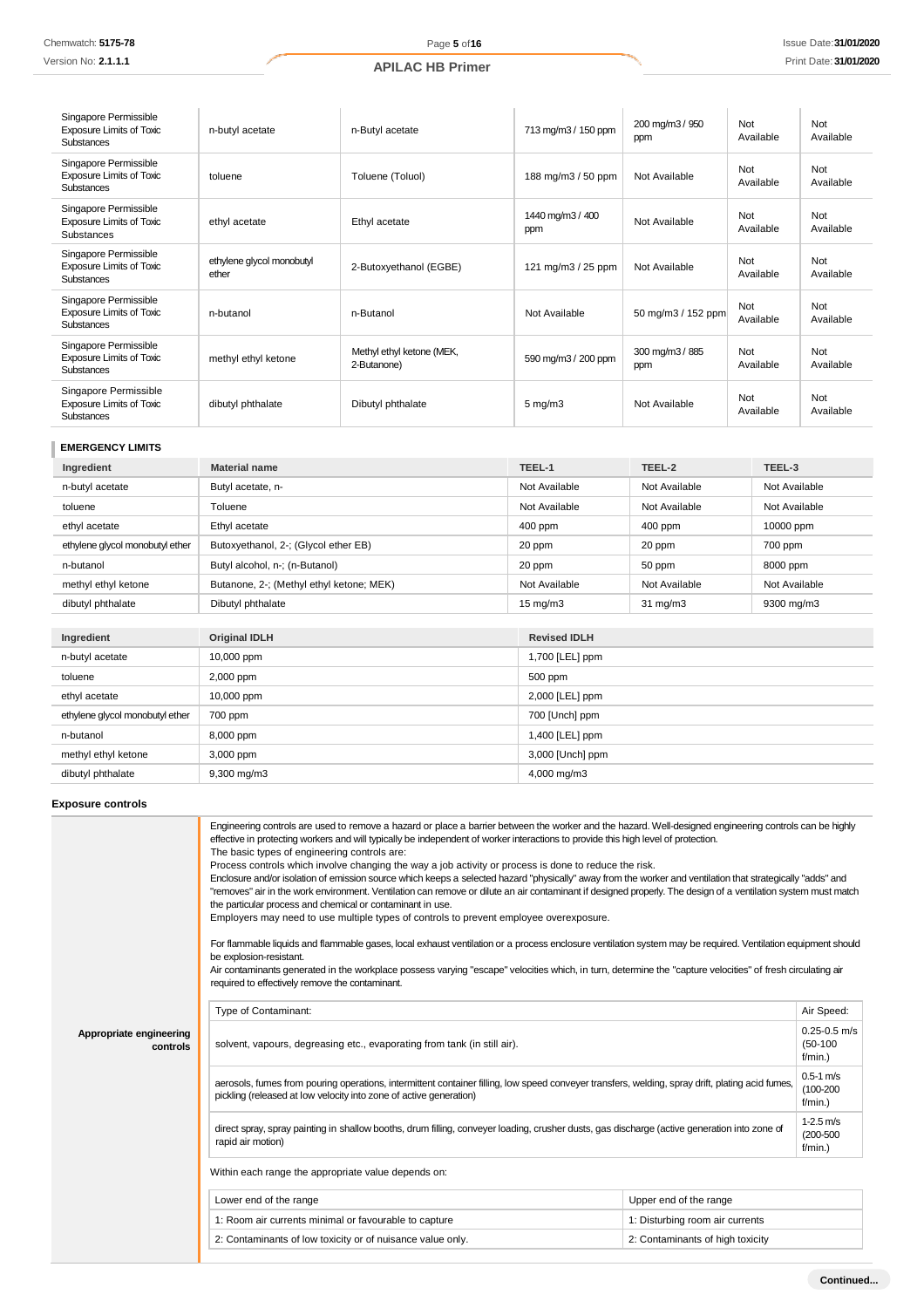Version No: **2.1.1.1**

| Singapore Permissible<br>Exposure Limits of Toxic<br><b>Substances</b>        | n-butyl acetate                    | n-Butyl acetate                          | 713 mg/m3 / 150 ppm     | 200 mg/m3 / 950<br>ppm | Not<br>Available | Not<br>Available |
|-------------------------------------------------------------------------------|------------------------------------|------------------------------------------|-------------------------|------------------------|------------------|------------------|
| Singapore Permissible<br><b>Exposure Limits of Toxic</b><br><b>Substances</b> | toluene                            | Toluene (Toluol)                         | 188 mg/m3 / 50 ppm      | Not Available          | Not<br>Available | Not<br>Available |
| Singapore Permissible<br><b>Exposure Limits of Toxic</b><br>Substances        | ethyl acetate                      | Ethyl acetate                            | 1440 mg/m3 / 400<br>ppm | Not Available          | Not<br>Available | Not<br>Available |
| Singapore Permissible<br><b>Exposure Limits of Toxic</b><br><b>Substances</b> | ethylene glycol monobutyl<br>ether | 2-Butoxyethanol (EGBE)                   | 121 mg/m3 / 25 ppm      | Not Available          | Not<br>Available | Not<br>Available |
| Singapore Permissible<br><b>Exposure Limits of Toxic</b><br><b>Substances</b> | n-butanol                          | n-Butanol                                | Not Available           | 50 mg/m3 / 152 ppm     | Not<br>Available | Not<br>Available |
| Singapore Permissible<br><b>Exposure Limits of Toxic</b><br><b>Substances</b> | methyl ethyl ketone                | Methyl ethyl ketone (MEK,<br>2-Butanone) | 590 mg/m3 / 200 ppm     | 300 mg/m3 / 885<br>ppm | Not<br>Available | Not<br>Available |
| Singapore Permissible<br><b>Exposure Limits of Toxic</b><br><b>Substances</b> | dibutyl phthalate                  | Dibutyl phthalate                        | $5 \text{ mg/m}$        | Not Available          | Not<br>Available | Not<br>Available |

## **EMERGENCY LIMITS**

| Ingredient                      | <b>Material name</b>                     | TEEL-1            | TEEL-2            | TEEL-3        |
|---------------------------------|------------------------------------------|-------------------|-------------------|---------------|
| n-butyl acetate                 | Butyl acetate, n-                        | Not Available     | Not Available     | Not Available |
| toluene                         | Toluene                                  | Not Available     | Not Available     | Not Available |
| ethyl acetate                   | Ethyl acetate                            | $400$ ppm         | $400$ ppm         | 10000 ppm     |
| ethylene glycol monobutyl ether | Butoxyethanol, 2-; (Glycol ether EB)     | 20 ppm            | 20 ppm            | 700 ppm       |
| n-butanol                       | Butyl alcohol, n-; (n-Butanol)           | 20 ppm            | 50 ppm            | 8000 ppm      |
| methyl ethyl ketone             | Butanone, 2-; (Methyl ethyl ketone; MEK) | Not Available     | Not Available     | Not Available |
| dibutyl phthalate               | Dibutyl phthalate                        | $15 \text{ mg/m}$ | $31 \text{ mg/m}$ | 9300 mg/m3    |

| Ingredient                      | <b>Original IDLH</b>    | <b>Revised IDLH</b> |
|---------------------------------|-------------------------|---------------------|
| n-butyl acetate                 | 10,000 ppm              | 1,700 [LEL] ppm     |
| toluene                         | 2,000 ppm               | 500 ppm             |
| ethyl acetate                   | 10,000 ppm              | 2,000 [LEL] ppm     |
| ethylene glycol monobutyl ether | 700 ppm                 | 700 [Unch] ppm      |
| n-butanol                       | 8,000 ppm               | 1,400 [LEL] ppm     |
| methyl ethyl ketone             | 3,000 ppm               | 3,000 [Unch] ppm    |
| dibutyl phthalate               | $9,300 \,\mathrm{mg/m}$ | 4,000 mg/m3         |

## **Exposure controls**

|                                     | Engineering controls are used to remove a hazard or place a barrier between the worker and the hazard. Well-designed engineering controls can be highly<br>effective in protecting workers and will typically be independent of worker interactions to provide this high level of protection.<br>The basic types of engineering controls are:<br>Process controls which involve changing the way a job activity or process is done to reduce the risk.<br>Enclosure and/or isolation of emission source which keeps a selected hazard "physically" away from the worker and ventilation that strategically "adds" and<br>"removes" air in the work environment. Ventilation can remove or dilute an air contaminant if designed properly. The design of a ventilation system must match<br>the particular process and chemical or contaminant in use.<br>Employers may need to use multiple types of controls to prevent employee overexposure.<br>For flammable liquids and flammable gases, local exhaust ventilation or a process enclosure ventilation system may be required. Ventilation equipment should<br>be explosion-resistant.<br>Air contaminants generated in the workplace possess varying "escape" velocities which, in turn, determine the "capture velocities" of fresh circulating air<br>required to effectively remove the contaminant. |                                  |  |  |  |
|-------------------------------------|--------------------------------------------------------------------------------------------------------------------------------------------------------------------------------------------------------------------------------------------------------------------------------------------------------------------------------------------------------------------------------------------------------------------------------------------------------------------------------------------------------------------------------------------------------------------------------------------------------------------------------------------------------------------------------------------------------------------------------------------------------------------------------------------------------------------------------------------------------------------------------------------------------------------------------------------------------------------------------------------------------------------------------------------------------------------------------------------------------------------------------------------------------------------------------------------------------------------------------------------------------------------------------------------------------------------------------------------------------------|----------------------------------|--|--|--|
|                                     | Air Speed:<br>Type of Contaminant:                                                                                                                                                                                                                                                                                                                                                                                                                                                                                                                                                                                                                                                                                                                                                                                                                                                                                                                                                                                                                                                                                                                                                                                                                                                                                                                           |                                  |  |  |  |
| Appropriate engineering<br>controls | solvent, vapours, degreasing etc., evaporating from tank (in still air).                                                                                                                                                                                                                                                                                                                                                                                                                                                                                                                                                                                                                                                                                                                                                                                                                                                                                                                                                                                                                                                                                                                                                                                                                                                                                     |                                  |  |  |  |
|                                     | $0.5 - 1$ m/s<br>aerosols, fumes from pouring operations, intermittent container filling, low speed conveyer transfers, welding, spray drift, plating acid fumes,<br>$(100 - 200)$<br>pickling (released at low velocity into zone of active generation)<br>$f/min.$ )                                                                                                                                                                                                                                                                                                                                                                                                                                                                                                                                                                                                                                                                                                                                                                                                                                                                                                                                                                                                                                                                                       |                                  |  |  |  |
|                                     | $1 - 2.5$ m/s<br>direct spray, spray painting in shallow booths, drum filling, conveyer loading, crusher dusts, gas discharge (active generation into zone of<br>rapid air motion)<br>$f/min.$ )                                                                                                                                                                                                                                                                                                                                                                                                                                                                                                                                                                                                                                                                                                                                                                                                                                                                                                                                                                                                                                                                                                                                                             |                                  |  |  |  |
|                                     | Within each range the appropriate value depends on:                                                                                                                                                                                                                                                                                                                                                                                                                                                                                                                                                                                                                                                                                                                                                                                                                                                                                                                                                                                                                                                                                                                                                                                                                                                                                                          |                                  |  |  |  |
|                                     | Lower end of the range                                                                                                                                                                                                                                                                                                                                                                                                                                                                                                                                                                                                                                                                                                                                                                                                                                                                                                                                                                                                                                                                                                                                                                                                                                                                                                                                       | Upper end of the range           |  |  |  |
|                                     | 1: Room air currents minimal or favourable to capture                                                                                                                                                                                                                                                                                                                                                                                                                                                                                                                                                                                                                                                                                                                                                                                                                                                                                                                                                                                                                                                                                                                                                                                                                                                                                                        | 1: Disturbing room air currents  |  |  |  |
|                                     | 2: Contaminants of low toxicity or of nuisance value only.                                                                                                                                                                                                                                                                                                                                                                                                                                                                                                                                                                                                                                                                                                                                                                                                                                                                                                                                                                                                                                                                                                                                                                                                                                                                                                   | 2: Contaminants of high toxicity |  |  |  |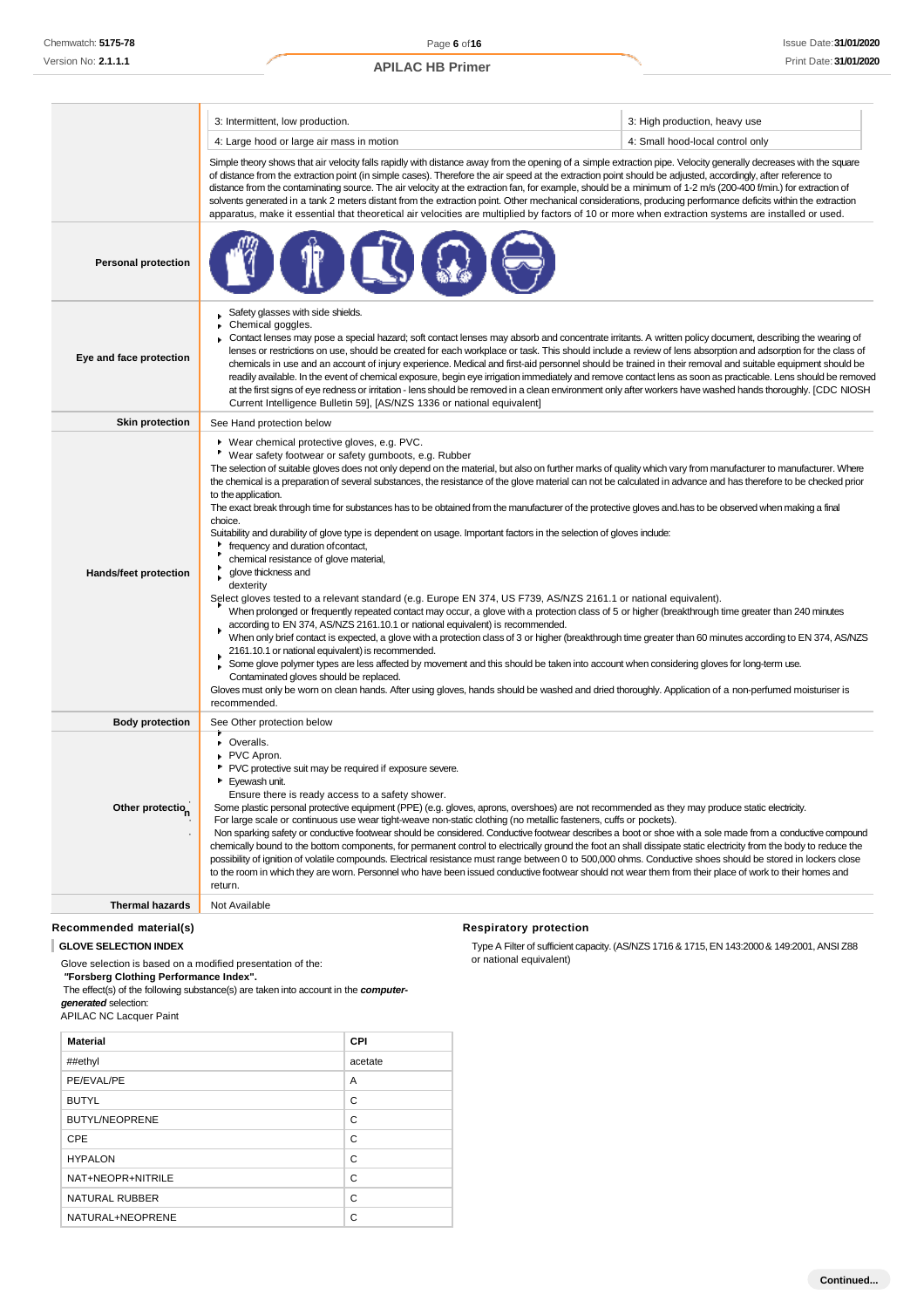|                            | 3: Intermittent, low production.                                                                                                                                                                                                                                                                                                                                                                                                                                                                                                                                                                                                                                                                                                                                                                                                                                                                                                                                                                                                                                                                                                                                                                                                                                                                                                                                                                                                                                                                                                                                                                                                                                                                                                                                                                                                          | 3: High production, heavy use    |  |
|----------------------------|-------------------------------------------------------------------------------------------------------------------------------------------------------------------------------------------------------------------------------------------------------------------------------------------------------------------------------------------------------------------------------------------------------------------------------------------------------------------------------------------------------------------------------------------------------------------------------------------------------------------------------------------------------------------------------------------------------------------------------------------------------------------------------------------------------------------------------------------------------------------------------------------------------------------------------------------------------------------------------------------------------------------------------------------------------------------------------------------------------------------------------------------------------------------------------------------------------------------------------------------------------------------------------------------------------------------------------------------------------------------------------------------------------------------------------------------------------------------------------------------------------------------------------------------------------------------------------------------------------------------------------------------------------------------------------------------------------------------------------------------------------------------------------------------------------------------------------------------|----------------------------------|--|
|                            | 4: Large hood or large air mass in motion                                                                                                                                                                                                                                                                                                                                                                                                                                                                                                                                                                                                                                                                                                                                                                                                                                                                                                                                                                                                                                                                                                                                                                                                                                                                                                                                                                                                                                                                                                                                                                                                                                                                                                                                                                                                 | 4: Small hood-local control only |  |
|                            | Simple theory shows that air velocity falls rapidly with distance away from the opening of a simple extraction pipe. Velocity generally decreases with the square<br>of distance from the extraction point (in simple cases). Therefore the air speed at the extraction point should be adjusted, accordingly, after reference to<br>distance from the contaminating source. The air velocity at the extraction fan, for example, should be a minimum of 1-2 m/s (200-400 f/min.) for extraction of<br>solvents generated in a tank 2 meters distant from the extraction point. Other mechanical considerations, producing performance deficits within the extraction<br>apparatus, make it essential that theoretical air velocities are multiplied by factors of 10 or more when extraction systems are installed or used.                                                                                                                                                                                                                                                                                                                                                                                                                                                                                                                                                                                                                                                                                                                                                                                                                                                                                                                                                                                                              |                                  |  |
| <b>Personal protection</b> |                                                                                                                                                                                                                                                                                                                                                                                                                                                                                                                                                                                                                                                                                                                                                                                                                                                                                                                                                                                                                                                                                                                                                                                                                                                                                                                                                                                                                                                                                                                                                                                                                                                                                                                                                                                                                                           |                                  |  |
| Eye and face protection    | Safety glasses with side shields.<br>Chemical goggles.<br>Contact lenses may pose a special hazard; soft contact lenses may absorb and concentrate irritants. A written policy document, describing the wearing of<br>lenses or restrictions on use, should be created for each workplace or task. This should include a review of lens absorption and adsorption for the class of<br>chemicals in use and an account of injury experience. Medical and first-aid personnel should be trained in their removal and suitable equipment should be<br>readily available. In the event of chemical exposure, begin eye irrigation immediately and remove contact lens as soon as practicable. Lens should be removed<br>at the first signs of eye redness or irritation - lens should be removed in a clean environment only after workers have washed hands thoroughly. [CDC NIOSH<br>Current Intelligence Bulletin 59], [AS/NZS 1336 or national equivalent]                                                                                                                                                                                                                                                                                                                                                                                                                                                                                                                                                                                                                                                                                                                                                                                                                                                                                |                                  |  |
| <b>Skin protection</b>     | See Hand protection below                                                                                                                                                                                                                                                                                                                                                                                                                                                                                                                                                                                                                                                                                                                                                                                                                                                                                                                                                                                                                                                                                                                                                                                                                                                                                                                                                                                                                                                                                                                                                                                                                                                                                                                                                                                                                 |                                  |  |
| Hands/feet protection      | ▶ Wear chemical protective gloves, e.g. PVC.<br>٠<br>Wear safety footwear or safety gumboots, e.g. Rubber<br>The selection of suitable gloves does not only depend on the material, but also on further marks of quality which vary from manufacturer to manufacturer. Where<br>the chemical is a preparation of several substances, the resistance of the glove material can not be calculated in advance and has therefore to be checked prior<br>to the application.<br>The exact break through time for substances has to be obtained from the manufacturer of the protective gloves and has to be observed when making a final<br>choice.<br>Suitability and durability of glove type is dependent on usage. Important factors in the selection of gloves indude:<br>frequency and duration of contact,<br>chemical resistance of glove material,<br>glove thickness and<br>dexterity<br>Select gloves tested to a relevant standard (e.g. Europe EN 374, US F739, AS/NZS 2161.1 or national equivalent).<br>When prolonged or frequently repeated contact may occur, a glove with a protection class of 5 or higher (breakthrough time greater than 240 minutes<br>according to EN 374, AS/NZS 2161.10.1 or national equivalent) is recommended.<br>When only brief contact is expected, a glove with a protection class of 3 or higher (breakthrough time greater than 60 minutes according to EN 374, AS/NZS<br>2161.10.1 or national equivalent) is recommended.<br>Some glove polymer types are less affected by movement and this should be taken into account when considering gloves for long-term use.<br>Contaminated gloves should be replaced.<br>Gloves must only be worn on clean hands. After using gloves, hands should be washed and dried thoroughly. Application of a non-perfumed moisturiser is<br>recommended. |                                  |  |
| <b>Body protection</b>     | See Other protection below                                                                                                                                                                                                                                                                                                                                                                                                                                                                                                                                                                                                                                                                                                                                                                                                                                                                                                                                                                                                                                                                                                                                                                                                                                                                                                                                                                                                                                                                                                                                                                                                                                                                                                                                                                                                                |                                  |  |
| Other protection           | • Overalls.<br>PVC Apron.<br>PVC protective suit may be required if exposure severe.<br>Eyewash unit.<br>٠<br>Ensure there is ready access to a safety shower.<br>Some plastic personal protective equipment (PPE) (e.g. gloves, aprons, overshoes) are not recommended as they may produce static electricity.<br>For large scale or continuous use wear tight-weave non-static clothing (no metallic fasteners, cuffs or pockets).<br>Non sparking safety or conductive footwear should be considered. Conductive footwear describes a boot or shoe with a sole made from a conductive compound<br>chemically bound to the bottom components, for permanent control to electrically ground the foot an shall dissipate static electricity from the body to reduce the<br>possibility of ignition of volatile compounds. Electrical resistance must range between 0 to 500,000 ohms. Conductive shoes should be stored in lockers close<br>to the room in which they are worn. Personnel who have been issued conductive footwear should not wear them from their place of work to their homes and<br>return.                                                                                                                                                                                                                                                                                                                                                                                                                                                                                                                                                                                                                                                                                                                            |                                  |  |
| <b>Thermal hazards</b>     | Not Available                                                                                                                                                                                                                                                                                                                                                                                                                                                                                                                                                                                                                                                                                                                                                                                                                                                                                                                                                                                                                                                                                                                                                                                                                                                                                                                                                                                                                                                                                                                                                                                                                                                                                                                                                                                                                             |                                  |  |
| Recommended material(s)    | <b>Respiratory protection</b>                                                                                                                                                                                                                                                                                                                                                                                                                                                                                                                                                                                                                                                                                                                                                                                                                                                                                                                                                                                                                                                                                                                                                                                                                                                                                                                                                                                                                                                                                                                                                                                                                                                                                                                                                                                                             |                                  |  |

Glove selection is based on a modified presentation of the: *"***Forsberg Clothing Performance Index".** The effect(s) of the following substance(s) are taken into account in the *computer-*

*generated* selection:

| <b>APILAC NC Lacquer Paint</b> |  |  |
|--------------------------------|--|--|
|                                |  |  |

| <b>Material</b>       | CPI     |
|-----------------------|---------|
| ##ethyl               | acetate |
| PE/EVAL/PE            | A       |
| <b>BUTYL</b>          | C       |
| <b>BUTYL/NEOPRENE</b> | C       |
| CPE                   | C       |
| <b>HYPALON</b>        | C       |
| NAT+NEOPR+NITRILE     | C       |
| NATURAL RUBBER        | C       |
| NATURAL+NEOPRENE      | C       |

**GLOVE SELECTION INDEX Type A Filter of sufficient capacity. (AS/NZS 1716 & 1715, EN 143:2000 & 149:2001, ANSI Z88** or national equivalent)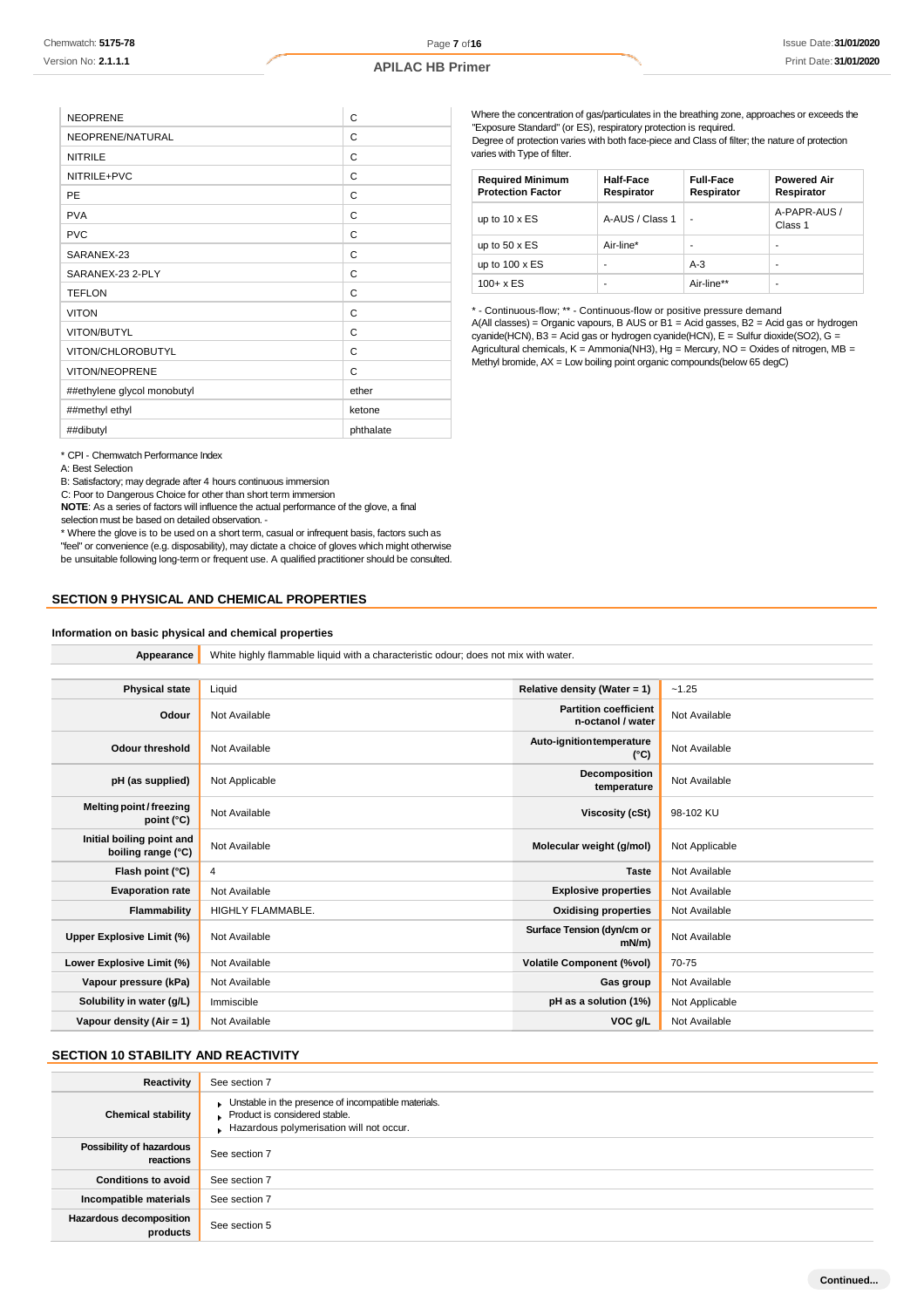| <b>NEOPRENE</b>             | C         |
|-----------------------------|-----------|
| NEOPRENE/NATURAL            | C         |
| <b>NITRILE</b>              | C         |
| NITRILE+PVC                 | C         |
| <b>PE</b>                   | C         |
| <b>PVA</b>                  | C         |
| <b>PVC</b>                  | C         |
| SARANEX-23                  | C         |
| SARANEX-23 2-PLY            | C         |
| <b>TEFLON</b>               | C         |
| <b>VITON</b>                | C         |
| VITON/BUTYL                 | C         |
| VITON/CHLOROBUTYL           | C         |
| <b>VITON/NEOPRENE</b>       | C         |
| ##ethylene glycol monobutyl | ether     |
| ##methyl ethyl              | ketone    |
| ##dibutyl                   | phthalate |
|                             |           |

\* CPI - Chemwatch Performance Index

A: Best Selection

B: Satisfactory; may degrade after 4 hours continuous immersion

C: Poor to Dangerous Choice for other than short term immersion

**NOTE**: As a series of factors will influence the actual performance of the glove, a final selection must be based on detailed observation. -

\* Where the glove is to be used on a short term, casual or infrequent basis, factors such as "feel" or convenience (e.g. disposability), may dictate a choice of gloves which might otherwise be unsuitable following long-term or frequent use. A qualified practitioner should be consulted.

**Appearance** White highly flammable liquid with a characteristic odour; does not mix with water.

### **SECTION 9 PHYSICAL AND CHEMICAL PROPERTIES**

### **Information on basic physical and chemical properties**

Where the concentration of gas/particulates in the breathing zone, approaches or exceeds the "Exposure Standard" (or ES), respiratory protection is required. Degree of protection varies with both face-piece and Class of filter; the nature of protection varies with Type of filter.

| <b>Required Minimum</b><br><b>Protection Factor</b> | <b>Half-Face</b><br>Respirator | <b>Full-Face</b><br>Respirator | <b>Powered Air</b><br>Respirator |
|-----------------------------------------------------|--------------------------------|--------------------------------|----------------------------------|
| up to $10 \times ES$                                | A-AUS / Class 1                |                                | A-PAPR-AUS /<br>Class 1          |
| up to $50 \times ES$                                | Air-line*                      |                                | ۰                                |
| up to $100 \times ES$                               | ۰                              | $A-3$                          | ۰                                |
| $100 + x ES$                                        | ۰                              | Air-line**                     |                                  |

\* - Continuous-flow; \*\* - Continuous-flow or positive pressure demand  $A($ All classes) = Organic vapours, B AUS or B1 = Acid gasses, B2 = Acid gas or hydrogen cyanide(HCN), B3 = Acid gas or hydrogen cyanide(HCN), E = Sulfur dioxide(SO2), G = Agricultural chemicals, K = Ammonia(NH3), Hg = Mercury, NO = Oxides of nitrogen, MB = Methyl bromide, AX = Low boiling point organic compounds(below 65 degC)

| <b>Physical state</b>                           | Liquid            | Relative density (Water = $1$ )                   | $-1.25$        |
|-------------------------------------------------|-------------------|---------------------------------------------------|----------------|
| Odour                                           | Not Available     | <b>Partition coefficient</b><br>n-octanol / water | Not Available  |
| <b>Odour threshold</b>                          | Not Available     | Auto-ignition temperature<br>$(^{\circ}C)$        | Not Available  |
| pH (as supplied)                                | Not Applicable    | Decomposition<br>temperature                      | Not Available  |
| Melting point/freezing<br>point $(^{\circ}C)$   | Not Available     | <b>Viscosity (cSt)</b>                            | 98-102 KU      |
| Initial boiling point and<br>boiling range (°C) | Not Available     | Molecular weight (g/mol)                          | Not Applicable |
| Flash point (°C)                                | 4                 | <b>Taste</b>                                      | Not Available  |
| <b>Evaporation rate</b>                         | Not Available     | <b>Explosive properties</b>                       | Not Available  |
| Flammability                                    | HIGHLY FLAMMABLE. | <b>Oxidising properties</b>                       | Not Available  |
| Upper Explosive Limit (%)                       | Not Available     | Surface Tension (dyn/cm or<br>$mN/m$ )            | Not Available  |
| Lower Explosive Limit (%)                       | Not Available     | <b>Volatile Component (%vol)</b>                  | 70-75          |
| Vapour pressure (kPa)                           | Not Available     | Gas group                                         | Not Available  |
| Solubility in water (g/L)                       | Immiscible        | pH as a solution (1%)                             | Not Applicable |
| Vapour density (Air = $1$ )                     | Not Available     | VOC g/L                                           | Not Available  |
|                                                 |                   |                                                   |                |

## **SECTION 10 STABILITY AND REACTIVITY**

| Reactivity                            | See section 7                                                                                                                    |
|---------------------------------------|----------------------------------------------------------------------------------------------------------------------------------|
| <b>Chemical stability</b>             | Unstable in the presence of incompatible materials.<br>Product is considered stable.<br>Hazardous polymerisation will not occur. |
| Possibility of hazardous<br>reactions | See section 7                                                                                                                    |
| <b>Conditions to avoid</b>            | See section 7                                                                                                                    |
| Incompatible materials                | See section 7                                                                                                                    |
| Hazardous decomposition<br>products   | See section 5                                                                                                                    |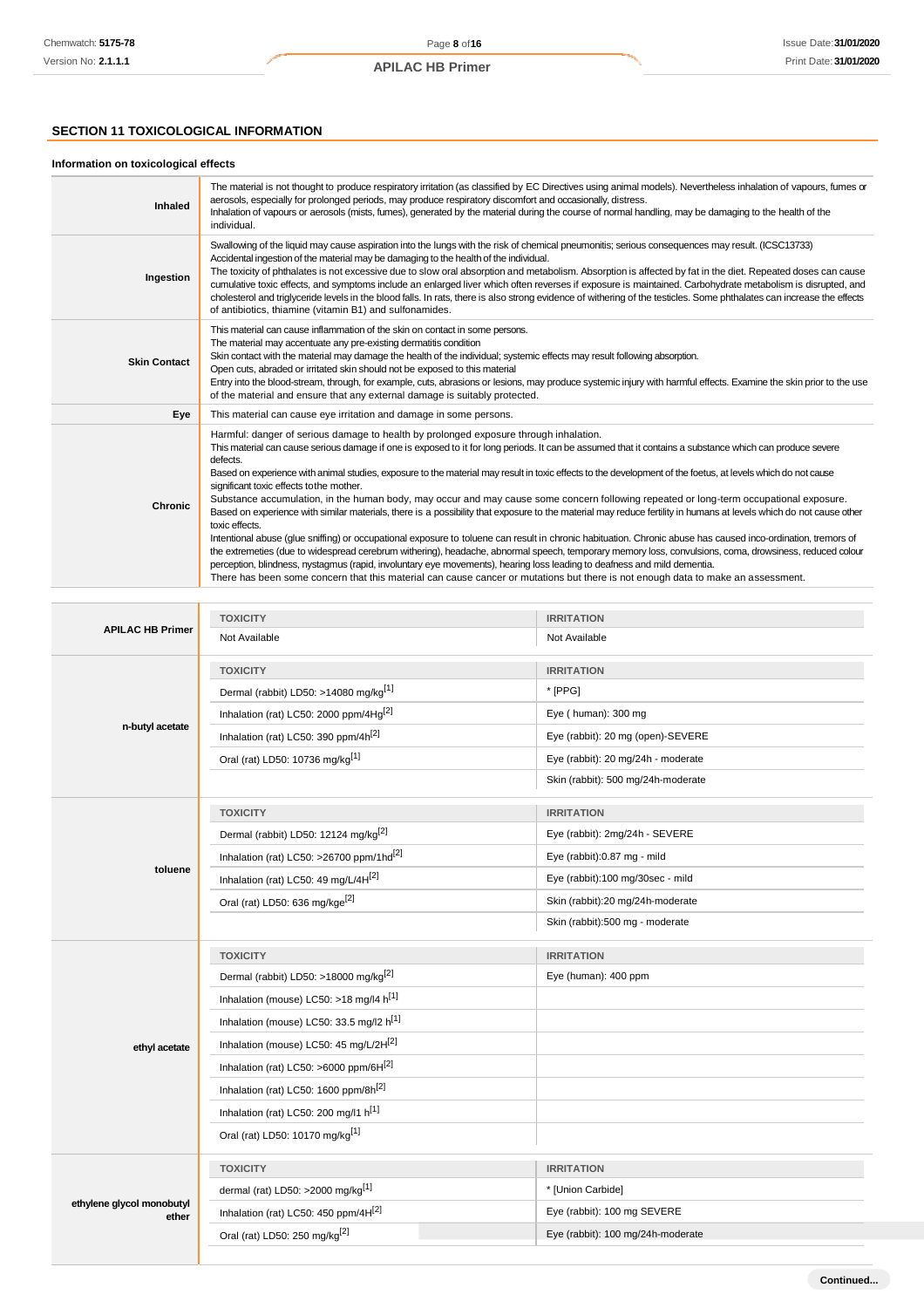**Continued...**

## **SECTION 11 TOXICOLOGICAL INFORMATION**

## **Information on toxicological effects**

| <b>Inhaled</b>      | The material is not thought to produce respiratory irritation (as classified by EC Directives using animal models). Nevertheless inhalation of vapours, fumes or<br>aerosols, especially for prolonged periods, may produce respiratory discomfort and occasionally, distress.<br>Inhalation of vapours or aerosols (mists, fumes), generated by the material during the course of normal handling, may be damaging to the health of the<br>individual.                                                                                                                                                                                                                                                                                                                                                                                                                                                                                                                                                                                                                                                                                                                                                                                                                                                                                                                                                 |
|---------------------|---------------------------------------------------------------------------------------------------------------------------------------------------------------------------------------------------------------------------------------------------------------------------------------------------------------------------------------------------------------------------------------------------------------------------------------------------------------------------------------------------------------------------------------------------------------------------------------------------------------------------------------------------------------------------------------------------------------------------------------------------------------------------------------------------------------------------------------------------------------------------------------------------------------------------------------------------------------------------------------------------------------------------------------------------------------------------------------------------------------------------------------------------------------------------------------------------------------------------------------------------------------------------------------------------------------------------------------------------------------------------------------------------------|
| Ingestion           | Swallowing of the liquid may cause aspiration into the lungs with the risk of chemical pneumonitis; serious consequences may result. (ICSC13733)<br>Accidental ingestion of the material may be damaging to the health of the individual.<br>The toxicity of phthalates is not excessive due to slow oral absorption and metabolism. Absorption is affected by fat in the diet. Repeated doses can cause<br>cumulative toxic effects, and symptoms include an enlarged liver which often reverses if exposure is maintained. Carbohydrate metabolism is disrupted, and<br>cholesterol and triglyceride levels in the blood falls. In rats, there is also strong evidence of withering of the testicles. Some phthalates can increase the effects<br>of antibiotics, thiamine (vitamin B1) and sulfonamides.                                                                                                                                                                                                                                                                                                                                                                                                                                                                                                                                                                                             |
| <b>Skin Contact</b> | This material can cause inflammation of the skin on contact in some persons.<br>The material may accentuate any pre-existing dermatitis condition<br>Skin contact with the material may damage the health of the individual; systemic effects may result following absorption.<br>Open cuts, abraded or irritated skin should not be exposed to this material<br>Entry into the blood-stream, through, for example, cuts, abrasions or lesions, may produce systemic injury with harmful effects. Examine the skin prior to the use<br>of the material and ensure that any external damage is suitably protected.                                                                                                                                                                                                                                                                                                                                                                                                                                                                                                                                                                                                                                                                                                                                                                                       |
| Eye                 | This material can cause eye irritation and damage in some persons.                                                                                                                                                                                                                                                                                                                                                                                                                                                                                                                                                                                                                                                                                                                                                                                                                                                                                                                                                                                                                                                                                                                                                                                                                                                                                                                                      |
| Chronic             | Harmful: danger of serious damage to health by prolonged exposure through inhalation.<br>This material can cause serious damage if one is exposed to it for long periods. It can be assumed that it contains a substance which can produce severe<br>defects.<br>Based on experience with animal studies, exposure to the material may result in toxic effects to the development of the foetus, at levels which do not cause<br>significant toxic effects to the mother.<br>Substance accumulation, in the human body, may occur and may cause some concern following repeated or long-term occupational exposure.<br>Based on experience with similar materials, there is a possibility that exposure to the material may reduce fertility in humans at levels which do not cause other<br>toxic effects.<br>Intentional abuse (glue sniffing) or occupational exposure to toluene can result in chronic habituation. Chronic abuse has caused inco-ordination, tremors of<br>the extremeties (due to widespread cerebrum withering), headache, abnormal speech, temporary memory loss, convulsions, coma, drowsiness, reduced colour<br>perception, blindness, nystagmus (rapid, involuntary eye movements), hearing loss leading to deafness and mild dementia.<br>There has been some concern that this material can cause cancer or mutations but there is not enough data to make an assessment. |

|                                    | <b>TOXICITY</b>                                      | <b>IRRITATION</b>                  |  |
|------------------------------------|------------------------------------------------------|------------------------------------|--|
| <b>APILAC HB Primer</b>            | Not Available                                        | Not Available                      |  |
|                                    | <b>TOXICITY</b>                                      | <b>IRRITATION</b>                  |  |
|                                    | Dermal (rabbit) LD50: >14080 mg/kg <sup>[1]</sup>    | * [PPG]                            |  |
|                                    | Inhalation (rat) LC50: 2000 ppm/4Hg <sup>[2]</sup>   | Eye (human): 300 mg                |  |
| n-butyl acetate                    | Inhalation (rat) LC50: 390 ppm/4h <sup>[2]</sup>     | Eye (rabbit): 20 mg (open)-SEVERE  |  |
|                                    | Oral (rat) LD50: 10736 mg/kg <sup>[1]</sup>          | Eye (rabbit): 20 mg/24h - moderate |  |
|                                    |                                                      | Skin (rabbit): 500 mg/24h-moderate |  |
|                                    | <b>TOXICITY</b>                                      | <b>IRRITATION</b>                  |  |
|                                    | Dermal (rabbit) LD50: 12124 mg/kg <sup>[2]</sup>     | Eye (rabbit): 2mg/24h - SEVERE     |  |
|                                    | Inhalation (rat) LC50: >26700 ppm/1hd <sup>[2]</sup> | Eye (rabbit):0.87 mg - mild        |  |
| toluene                            | Inhalation (rat) LC50: 49 mg/L/4H[2]                 | Eye (rabbit):100 mg/30sec - mild   |  |
|                                    | Oral (rat) LD50: 636 mg/kge <sup>[2]</sup>           | Skin (rabbit):20 mg/24h-moderate   |  |
|                                    |                                                      | Skin (rabbit):500 mg - moderate    |  |
|                                    |                                                      |                                    |  |
|                                    | <b>TOXICITY</b>                                      | <b>IRRITATION</b>                  |  |
|                                    | Dermal (rabbit) LD50: >18000 mg/kg <sup>[2]</sup>    | Eye (human): 400 ppm               |  |
|                                    | Inhalation (mouse) LC50: >18 mg/l4 h[1]              |                                    |  |
|                                    | Inhalation (mouse) LC50: 33.5 mg/l2 h <sup>[1]</sup> |                                    |  |
| ethyl acetate                      | Inhalation (mouse) LC50: 45 mg/L/2H[2]               |                                    |  |
|                                    | Inhalation (rat) LC50: >6000 ppm/6H[2]               |                                    |  |
|                                    | Inhalation (rat) LC50: 1600 ppm/8h <sup>[2]</sup>    |                                    |  |
|                                    | Inhalation (rat) LC50: 200 mg/l1 h[1]                |                                    |  |
|                                    | Oral (rat) LD50: 10170 mg/kg <sup>[1]</sup>          |                                    |  |
|                                    | <b>TOXICITY</b>                                      | <b>IRRITATION</b>                  |  |
|                                    | dermal (rat) LD50: >2000 mg/kg <sup>[1]</sup>        | * [Union Carbide]                  |  |
| ethylene glycol monobutyl<br>ether | Inhalation (rat) LC50: 450 ppm/4H <sup>[2]</sup>     | Eye (rabbit): 100 mg SEVERE        |  |
|                                    | Oral (rat) LD50: 250 mg/kg <sup>[2]</sup>            | Eye (rabbit): 100 mg/24h-moderate  |  |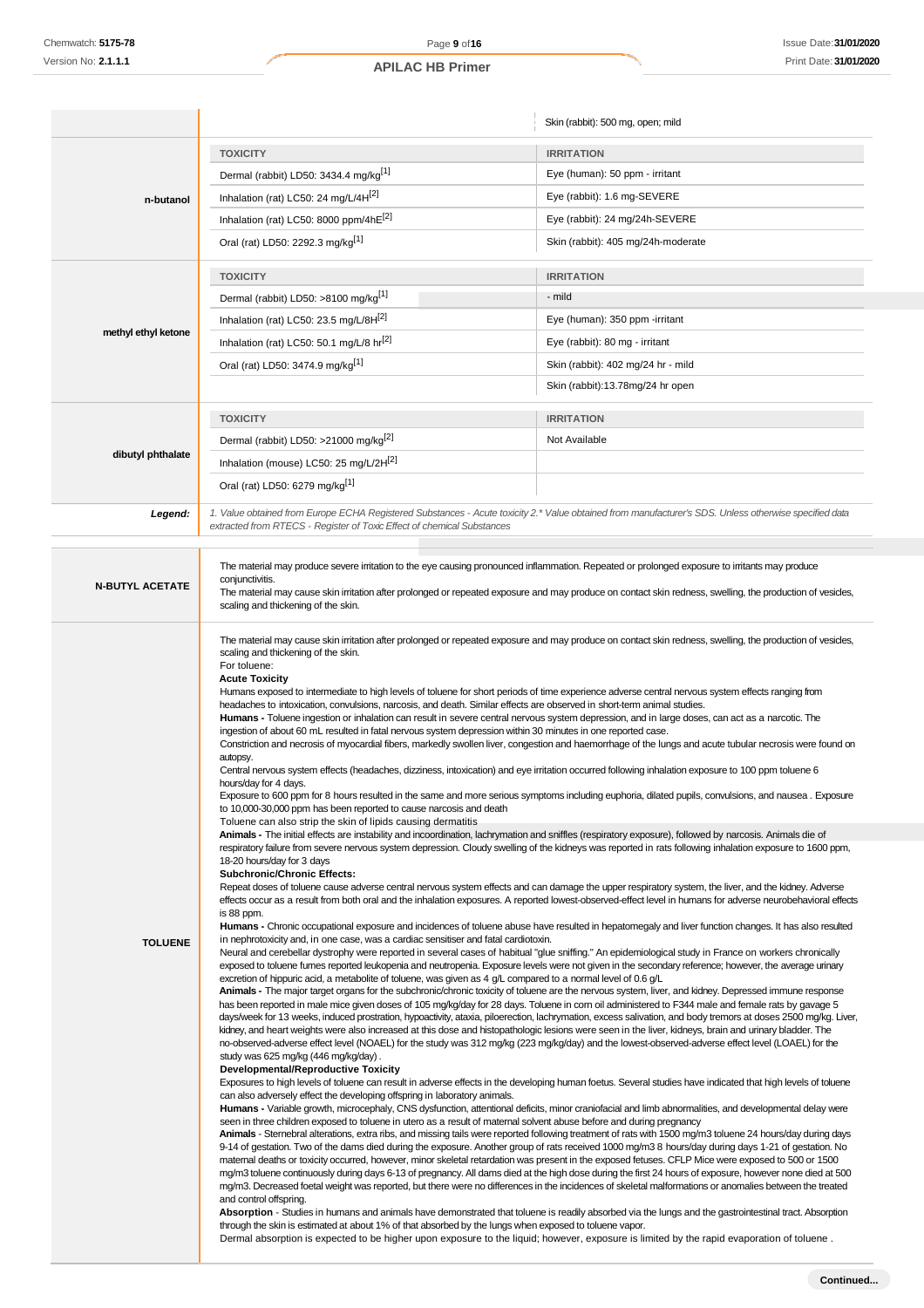|                        |                                                                                                                                                                                                                                                                                                                                                                                                                                                                                                                                                                                                                                                                                                                                                                                                                                                                                                                                                                                                                                                                                                                                                                                                                                                                                                                                                                                                                                                    | Skin (rabbit): 500 mg, open; mild                                                                                                                                                                                                                                                                                         |  |
|------------------------|----------------------------------------------------------------------------------------------------------------------------------------------------------------------------------------------------------------------------------------------------------------------------------------------------------------------------------------------------------------------------------------------------------------------------------------------------------------------------------------------------------------------------------------------------------------------------------------------------------------------------------------------------------------------------------------------------------------------------------------------------------------------------------------------------------------------------------------------------------------------------------------------------------------------------------------------------------------------------------------------------------------------------------------------------------------------------------------------------------------------------------------------------------------------------------------------------------------------------------------------------------------------------------------------------------------------------------------------------------------------------------------------------------------------------------------------------|---------------------------------------------------------------------------------------------------------------------------------------------------------------------------------------------------------------------------------------------------------------------------------------------------------------------------|--|
|                        | <b>TOXICITY</b>                                                                                                                                                                                                                                                                                                                                                                                                                                                                                                                                                                                                                                                                                                                                                                                                                                                                                                                                                                                                                                                                                                                                                                                                                                                                                                                                                                                                                                    | <b>IRRITATION</b>                                                                                                                                                                                                                                                                                                         |  |
| n-butanol              | Dermal (rabbit) LD50: 3434.4 mg/kg[1]                                                                                                                                                                                                                                                                                                                                                                                                                                                                                                                                                                                                                                                                                                                                                                                                                                                                                                                                                                                                                                                                                                                                                                                                                                                                                                                                                                                                              | Eye (human): 50 ppm - irritant                                                                                                                                                                                                                                                                                            |  |
|                        | Inhalation (rat) LC50: 24 mg/L/4H[2]                                                                                                                                                                                                                                                                                                                                                                                                                                                                                                                                                                                                                                                                                                                                                                                                                                                                                                                                                                                                                                                                                                                                                                                                                                                                                                                                                                                                               | Eye (rabbit): 1.6 mg-SEVERE                                                                                                                                                                                                                                                                                               |  |
|                        | Inhalation (rat) LC50: 8000 ppm/4hE[2]                                                                                                                                                                                                                                                                                                                                                                                                                                                                                                                                                                                                                                                                                                                                                                                                                                                                                                                                                                                                                                                                                                                                                                                                                                                                                                                                                                                                             | Eye (rabbit): 24 mg/24h-SEVERE                                                                                                                                                                                                                                                                                            |  |
|                        | Oral (rat) LD50: 2292.3 mg/kg <sup>[1]</sup>                                                                                                                                                                                                                                                                                                                                                                                                                                                                                                                                                                                                                                                                                                                                                                                                                                                                                                                                                                                                                                                                                                                                                                                                                                                                                                                                                                                                       | Skin (rabbit): 405 mg/24h-moderate                                                                                                                                                                                                                                                                                        |  |
|                        | <b>TOXICITY</b>                                                                                                                                                                                                                                                                                                                                                                                                                                                                                                                                                                                                                                                                                                                                                                                                                                                                                                                                                                                                                                                                                                                                                                                                                                                                                                                                                                                                                                    | <b>IRRITATION</b>                                                                                                                                                                                                                                                                                                         |  |
|                        | Dermal (rabbit) LD50: >8100 mg/kg <sup>[1]</sup>                                                                                                                                                                                                                                                                                                                                                                                                                                                                                                                                                                                                                                                                                                                                                                                                                                                                                                                                                                                                                                                                                                                                                                                                                                                                                                                                                                                                   | - mild                                                                                                                                                                                                                                                                                                                    |  |
|                        | Inhalation (rat) LC50: 23.5 mg/L/8H[2]                                                                                                                                                                                                                                                                                                                                                                                                                                                                                                                                                                                                                                                                                                                                                                                                                                                                                                                                                                                                                                                                                                                                                                                                                                                                                                                                                                                                             | Eye (human): 350 ppm -irritant                                                                                                                                                                                                                                                                                            |  |
| methyl ethyl ketone    | Inhalation (rat) LC50: 50.1 mg/L/8 hr[2]                                                                                                                                                                                                                                                                                                                                                                                                                                                                                                                                                                                                                                                                                                                                                                                                                                                                                                                                                                                                                                                                                                                                                                                                                                                                                                                                                                                                           | Eye (rabbit): 80 mg - irritant                                                                                                                                                                                                                                                                                            |  |
|                        | Oral (rat) LD50: 3474.9 mg/kg <sup>[1]</sup>                                                                                                                                                                                                                                                                                                                                                                                                                                                                                                                                                                                                                                                                                                                                                                                                                                                                                                                                                                                                                                                                                                                                                                                                                                                                                                                                                                                                       | Skin (rabbit): 402 mg/24 hr - mild                                                                                                                                                                                                                                                                                        |  |
|                        |                                                                                                                                                                                                                                                                                                                                                                                                                                                                                                                                                                                                                                                                                                                                                                                                                                                                                                                                                                                                                                                                                                                                                                                                                                                                                                                                                                                                                                                    | Skin (rabbit):13.78mg/24 hr open                                                                                                                                                                                                                                                                                          |  |
|                        | <b>TOXICITY</b>                                                                                                                                                                                                                                                                                                                                                                                                                                                                                                                                                                                                                                                                                                                                                                                                                                                                                                                                                                                                                                                                                                                                                                                                                                                                                                                                                                                                                                    | <b>IRRITATION</b>                                                                                                                                                                                                                                                                                                         |  |
|                        | Dermal (rabbit) LD50: >21000 mg/kg <sup>[2]</sup>                                                                                                                                                                                                                                                                                                                                                                                                                                                                                                                                                                                                                                                                                                                                                                                                                                                                                                                                                                                                                                                                                                                                                                                                                                                                                                                                                                                                  | Not Available                                                                                                                                                                                                                                                                                                             |  |
| dibutyl phthalate      | Inhalation (mouse) LC50: 25 mg/L/2H <sup>[2]</sup>                                                                                                                                                                                                                                                                                                                                                                                                                                                                                                                                                                                                                                                                                                                                                                                                                                                                                                                                                                                                                                                                                                                                                                                                                                                                                                                                                                                                 |                                                                                                                                                                                                                                                                                                                           |  |
|                        | Oral (rat) LD50: 6279 mg/kg <sup>[1]</sup>                                                                                                                                                                                                                                                                                                                                                                                                                                                                                                                                                                                                                                                                                                                                                                                                                                                                                                                                                                                                                                                                                                                                                                                                                                                                                                                                                                                                         |                                                                                                                                                                                                                                                                                                                           |  |
| Legend:                | 1. Value obtained from Europe ECHA Registered Substances - Acute toxicity 2.* Value obtained from manufacturer's SDS. Unless otherwise specified data                                                                                                                                                                                                                                                                                                                                                                                                                                                                                                                                                                                                                                                                                                                                                                                                                                                                                                                                                                                                                                                                                                                                                                                                                                                                                              |                                                                                                                                                                                                                                                                                                                           |  |
|                        | extracted from RTECS - Register of Toxic Effect of chemical Substances                                                                                                                                                                                                                                                                                                                                                                                                                                                                                                                                                                                                                                                                                                                                                                                                                                                                                                                                                                                                                                                                                                                                                                                                                                                                                                                                                                             |                                                                                                                                                                                                                                                                                                                           |  |
| <b>N-BUTYL ACETATE</b> | The material may produce severe irritation to the eye causing pronounced inflammation. Repeated or prolonged exposure to irritants may produce<br>conjunctivitis.<br>The material may cause skin irritation after prolonged or repeated exposure and may produce on contact skin redness, swelling, the production of vesicles,<br>scaling and thickening of the skin.                                                                                                                                                                                                                                                                                                                                                                                                                                                                                                                                                                                                                                                                                                                                                                                                                                                                                                                                                                                                                                                                             |                                                                                                                                                                                                                                                                                                                           |  |
|                        | The material may cause skin irritation after prolonged or repeated exposure and may produce on contact skin redness, swelling, the production of vesicles,<br>scaling and thickening of the skin.<br>For toluene:<br><b>Acute Toxicity</b><br>Humans exposed to intermediate to high levels of toluene for short periods of time experience adverse central nervous system effects ranging from<br>headaches to intoxication, convulsions, narcosis, and death. Similar effects are observed in short-term animal studies.<br>Humans - Toluene ingestion or inhalation can result in severe central nervous system depression, and in large doses, can act as a narcotic. The<br>ingestion of about 60 mL resulted in fatal nervous system depression within 30 minutes in one reported case.<br>Constriction and necrosis of myocardial fibers, markedly swollen liver, congestion and haemorrhage of the lungs and acute tubular necrosis were found on<br>autopsy.<br>Central nervous system effects (headaches, dizziness, intoxication) and eye irritation occurred following inhalation exposure to 100 ppm toluene 6<br>hours/day for 4 days.<br>Exposure to 600 ppm for 8 hours resulted in the same and more serious symptoms including euphoria, dilated pupils, convulsions, and nausea. Exposure<br>to 10,000-30,000 ppm has been reported to cause narcosis and death<br>Toluene can also strip the skin of lipids causing dermatitis |                                                                                                                                                                                                                                                                                                                           |  |
|                        | Animals - The initial effects are instability and incoordination, lachrymation and sniffles (respiratory exposure), followed by narcosis. Animals die of                                                                                                                                                                                                                                                                                                                                                                                                                                                                                                                                                                                                                                                                                                                                                                                                                                                                                                                                                                                                                                                                                                                                                                                                                                                                                           |                                                                                                                                                                                                                                                                                                                           |  |
|                        | 18-20 hours/day for 3 days<br><b>Subchronic/Chronic Effects:</b><br>Repeat doses of toluene cause adverse central nervous system effects and can damage the upper respiratory system, the liver, and the kidney. Adverse<br>is 88 ppm.                                                                                                                                                                                                                                                                                                                                                                                                                                                                                                                                                                                                                                                                                                                                                                                                                                                                                                                                                                                                                                                                                                                                                                                                             | respiratory failure from severe nervous system depression. Cloudy swelling of the kidneys was reported in rats following inhalation exposure to 1600 ppm,<br>effects occur as a result from both oral and the inhalation exposures. A reported lowest-observed-effect level in humans for adverse neurobehavioral effects |  |
| <b>TOLUENE</b>         | <b>Humans -</b> Chronic occupational exposure and incidences of toluene abuse have resulted in hepatomegaly and liver function changes. It has also resulted<br>in nephrotoxicity and, in one case, was a cardiac sensitiser and fatal cardiotoxin.<br>Neural and cerebellar dystrophy were reported in several cases of habitual "glue sniffing." An epidemiological study in France on workers chronically<br>exposed to toluene fumes reported leukopenia and neutropenia. Exposure levels were not given in the secondary reference; however, the average urinary                                                                                                                                                                                                                                                                                                                                                                                                                                                                                                                                                                                                                                                                                                                                                                                                                                                                              |                                                                                                                                                                                                                                                                                                                           |  |
|                        | excretion of hippuric acid, a metabolite of toluene, was given as 4 $g/L$ compared to a normal level of 0.6 $g/L$                                                                                                                                                                                                                                                                                                                                                                                                                                                                                                                                                                                                                                                                                                                                                                                                                                                                                                                                                                                                                                                                                                                                                                                                                                                                                                                                  |                                                                                                                                                                                                                                                                                                                           |  |
|                        | Animals - The major target organs for the subchronic/chronic toxicity of toluene are the nervous system, liver, and kidney. Depressed immune response<br>has been reported in male mice given doses of 105 mg/kg/day for 28 days. Toluene in corn oil administered to F344 male and female rats by gavage 5<br>days/week for 13 weeks, induced prostration, hypoactivity, ataxia, piloerection, lachrymation, excess salivation, and body tremors at doses 2500 mg/kg. Liver,<br>kidney, and heart weights were also increased at this dose and histopathologic lesions were seen in the liver, kidneys, brain and urinary bladder. The<br>no-observed-adverse effect level (NOAEL) for the study was 312 mg/kg (223 mg/kg/day) and the lowest-observed-adverse effect level (LOAEL) for the<br>study was 625 mg/kg (446 mg/kg/day).                                                                                                                                                                                                                                                                                                                                                                                                                                                                                                                                                                                                               |                                                                                                                                                                                                                                                                                                                           |  |
|                        | <b>Developmental/Reproductive Toxicity</b><br>can also adversely effect the developing offspring in laboratory animals.                                                                                                                                                                                                                                                                                                                                                                                                                                                                                                                                                                                                                                                                                                                                                                                                                                                                                                                                                                                                                                                                                                                                                                                                                                                                                                                            | Exposures to high levels of toluene can result in adverse effects in the developing human foetus. Several studies have indicated that high levels of toluene                                                                                                                                                              |  |
|                        | <b>Humans</b> - Variable growth, microcephaly, CNS dysfunction, attentional deficits, minor craniofacial and limb abnormalities, and developmental delay were<br>seen in three children exposed to toluene in utero as a result of maternal solvent abuse before and during pregnancy                                                                                                                                                                                                                                                                                                                                                                                                                                                                                                                                                                                                                                                                                                                                                                                                                                                                                                                                                                                                                                                                                                                                                              |                                                                                                                                                                                                                                                                                                                           |  |
|                        | Animals - Sternebral alterations, extra ribs, and missing tails were reported following treatment of rats with 1500 mg/m3 toluene 24 hours/day during days<br>9-14 of gestation. Two of the dams died during the exposure. Another group of rats received 1000 mg/m3 8 hours/day during days 1-21 of gestation. No<br>maternal deaths or toxicity occurred, however, minor skeletal retardation was present in the exposed fetuses. CFLP Mice were exposed to 500 or 1500<br>mg/m3 toluene continuously during days 6-13 of pregnancy. All dams died at the high dose during the first 24 hours of exposure, however none died at 500<br>mg/m3. Decreased foetal weight was reported, but there were no differences in the incidences of skeletal malformations or anomalies between the treated<br>and control offspring.                                                                                                                                                                                                                                                                                                                                                                                                                                                                                                                                                                                                                         |                                                                                                                                                                                                                                                                                                                           |  |
|                        | Absorption - Studies in humans and animals have demonstrated that toluene is readily absorbed via the lungs and the gastrointestinal tract. Absorption<br>through the skin is estimated at about 1% of that absorbed by the lungs when exposed to toluene vapor.<br>Dermal absorption is expected to be higher upon exposure to the liquid; however, exposure is limited by the rapid evaporation of toluene.                                                                                                                                                                                                                                                                                                                                                                                                                                                                                                                                                                                                                                                                                                                                                                                                                                                                                                                                                                                                                                      |                                                                                                                                                                                                                                                                                                                           |  |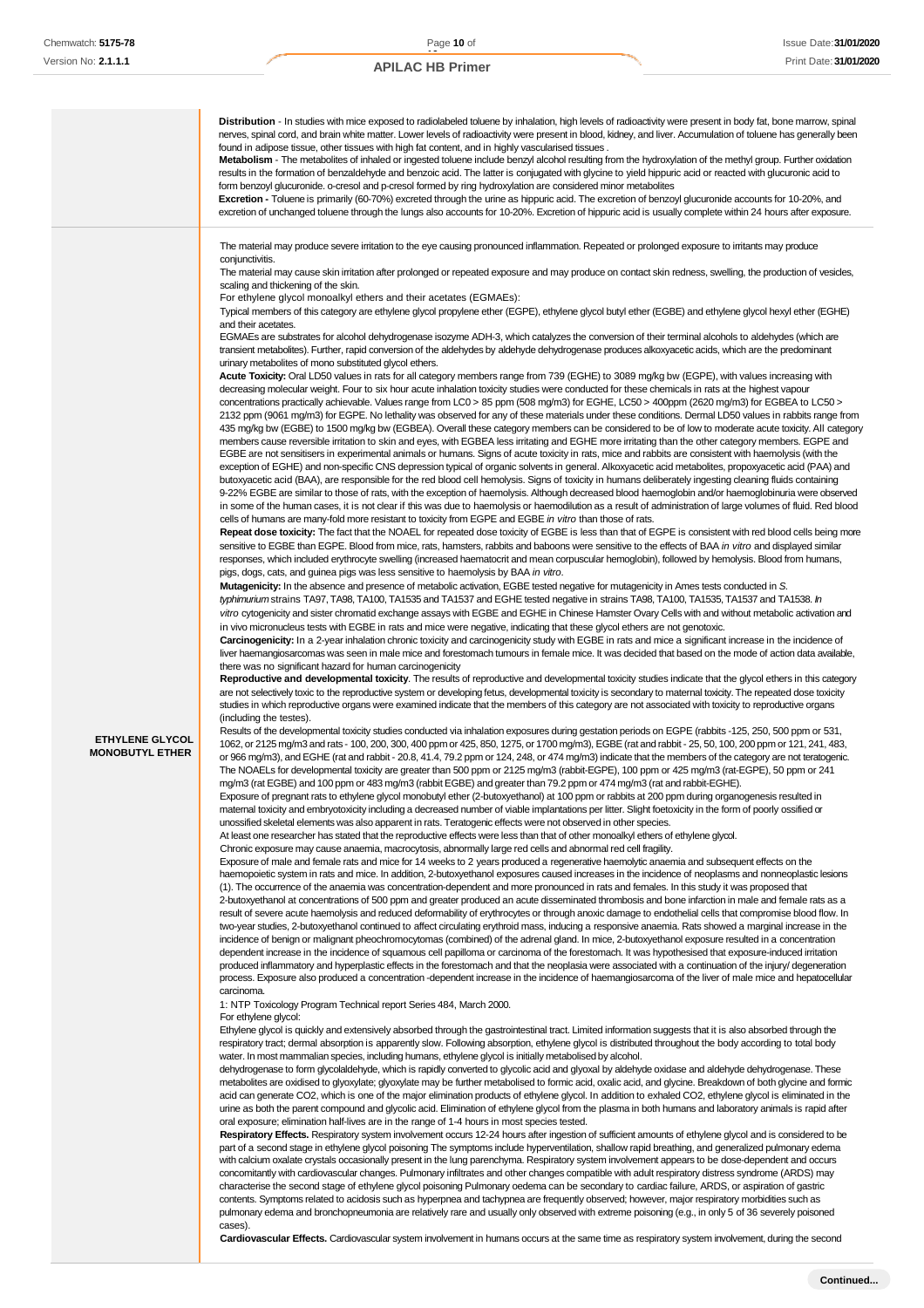|                                                  | Distribution - In studies with mice exposed to radiolabeled toluene by inhalation, high levels of radioactivity were present in body fat, bone marrow, spinal<br>nerves, spinal cord, and brain white matter. Lower levels of radioactivity were present in blood, kidney, and liver. Accumulation of toluene has generally been<br>found in adipose tissue, other tissues with high fat content, and in highly vascularised tissues.<br>Metabolism - The metabolites of inhaled or ingested toluene include benzyl alcohol resulting from the hydroxylation of the methyl group. Further oxidation<br>results in the formation of benzaldehyde and benzoic acid. The latter is conjugated with glycine to yield hippuric acid or reacted with glucuronic acid to<br>form benzoyl glucuronide. o-cresol and p-cresol formed by ring hydroxylation are considered minor metabolites<br>Excretion - Toluene is primarily (60-70%) excreted through the urine as hippuric acid. The excretion of benzoyl glucuronide accounts for 10-20%, and<br>excretion of unchanged toluene through the lungs also accounts for 10-20%. Excretion of hippuric acid is usually complete within 24 hours after exposure.                                                                                                                                                                                                                                                                                                                                                                                                                                                                                                                                                                                                                                                                                                                                                                                                                                                                                                                                                                                                                                                                                                                                                                                                                                                                                                                                                                                                                                                                                                                                                                                                                                                                                                                                                                                                                                                                                                                                                                                                                                                                                                                                                                                                                                                                                                                                                                                                                                                                                                                                                                                                                                                                                                                                                                                                                                                                                                                                                                                                                                                                                                                                                                                                                                                                                                                                                                                                                                                                                                                                                                                                                                                                                                                                                                                                                                                                                                                                                                                                                                                                                                                                                                                                                                                                                                                                                                                                                                                                                                                                                                  |
|--------------------------------------------------|--------------------------------------------------------------------------------------------------------------------------------------------------------------------------------------------------------------------------------------------------------------------------------------------------------------------------------------------------------------------------------------------------------------------------------------------------------------------------------------------------------------------------------------------------------------------------------------------------------------------------------------------------------------------------------------------------------------------------------------------------------------------------------------------------------------------------------------------------------------------------------------------------------------------------------------------------------------------------------------------------------------------------------------------------------------------------------------------------------------------------------------------------------------------------------------------------------------------------------------------------------------------------------------------------------------------------------------------------------------------------------------------------------------------------------------------------------------------------------------------------------------------------------------------------------------------------------------------------------------------------------------------------------------------------------------------------------------------------------------------------------------------------------------------------------------------------------------------------------------------------------------------------------------------------------------------------------------------------------------------------------------------------------------------------------------------------------------------------------------------------------------------------------------------------------------------------------------------------------------------------------------------------------------------------------------------------------------------------------------------------------------------------------------------------------------------------------------------------------------------------------------------------------------------------------------------------------------------------------------------------------------------------------------------------------------------------------------------------------------------------------------------------------------------------------------------------------------------------------------------------------------------------------------------------------------------------------------------------------------------------------------------------------------------------------------------------------------------------------------------------------------------------------------------------------------------------------------------------------------------------------------------------------------------------------------------------------------------------------------------------------------------------------------------------------------------------------------------------------------------------------------------------------------------------------------------------------------------------------------------------------------------------------------------------------------------------------------------------------------------------------------------------------------------------------------------------------------------------------------------------------------------------------------------------------------------------------------------------------------------------------------------------------------------------------------------------------------------------------------------------------------------------------------------------------------------------------------------------------------------------------------------------------------------------------------------------------------------------------------------------------------------------------------------------------------------------------------------------------------------------------------------------------------------------------------------------------------------------------------------------------------------------------------------------------------------------------------------------------------------------------------------------------------------------------------------------------------------------------------------------------------------------------------------------------------------------------------------------------------------------------------------------------------------------------------------------------------------------------------------------------------------------------------------------------------------------------------------------------------------------------------------------------------------------------------------------------------------------------------------------------------------------------------------------------------------------------------------------------------------------------------------------------------------------------------------------------------------------------------------------------------------------------------------------------------------------------------------------------------------------------------------------|
|                                                  | The material may produce severe irritation to the eye causing pronounced inflammation. Repeated or prolonged exposure to irritants may produce<br>conjunctivitis.<br>The material may cause skin irritation after prolonged or repeated exposure and may produce on contact skin redness, swelling, the production of vesicles,<br>scaling and thickening of the skin.<br>For ethylene glycol monoalkyl ethers and their acetates (EGMAEs):<br>Typical members of this category are ethylene glycol propylene ether (EGPE), ethylene glycol butyl ether (EGBE) and ethylene glycol hexyl ether (EGHE)<br>and their acetates.<br>EGMAEs are substrates for alcohol dehydrogenase isozyme ADH-3, which catalyzes the conversion of their terminal alcohols to aldehydes (which are<br>transient metabolites). Further, rapid conversion of the aldehydes by aldehyde dehydrogenase produces alkoxyacetic acids, which are the predominant<br>urinary metabolites of mono substituted glycol ethers.<br>Acute Toxicity: Oral LD50 values in rats for all category members range from 739 (EGHE) to 3089 mg/kg bw (EGPE), with values increasing with<br>decreasing molecular weight. Four to six hour acute inhalation toxicity studies were conducted for these chemicals in rats at the highest vapour<br>concentrations practically achievable. Values range from LC0 > 85 ppm (508 mg/m3) for EGHE, LC50 > 400ppm (2620 mg/m3) for EGBEA to LC50 ><br>2132 ppm (9061 mg/m3) for EGPE. No lethality was observed for any of these materials under these conditions. Dermal LD50 values in rabbits range from<br>435 mg/kg bw (EGBE) to 1500 mg/kg bw (EGBEA). Overall these category members can be considered to be of low to moderate acute toxicity. All category<br>members cause reversible irritation to skin and eyes, with EGBEA less irritating and EGHE more irritating than the other category members. EGPE and<br>EGBE are not sensitisers in experimental animals or humans. Signs of acute toxicity in rats, mice and rabbits are consistent with haemolysis (with the<br>exception of EGHE) and non-specific CNS depression typical of organic solvents in general. Alkoxyacetic acid metabolites, propoxyacetic acid (PAA) and<br>butoxyacetic acid (BAA), are responsible for the red blood cell hemolysis. Signs of toxicity in humans deliberately ingesting cleaning fluids containing<br>9-22% EGBE are similar to those of rats, with the exception of haemolysis. Although decreased blood haemoglobin and/or haemoglobinuria were observed<br>in some of the human cases, it is not clear if this was due to haemolysis or haemodilution as a result of administration of large volumes of fluid. Red blood<br>cells of humans are many-fold more resistant to toxicity from EGPE and EGBE in vitro than those of rats.<br>Repeat dose toxicity: The fact that the NOAEL for repeated dose toxicity of EGBE is less than that of EGPE is consistent with red blood cells being more<br>sensitive to EGBE than EGPE. Blood from mice, rats, hamsters, rabbits and baboons were sensitive to the effects of BAA in vitro and displayed similar<br>responses, which included erythrocyte swelling (increased haematocrit and mean corpuscular hemoglobin), followed by hemolysis. Blood from humans,<br>pigs, dogs, cats, and guinea pigs was less sensitive to haemolysis by BAA in vitro.<br><b>Mutagenicity:</b> In the absence and presence of metabolic activation, EGBE tested negative for mutagenicity in Ames tests conducted in S.<br>typhimuriumstrains TA97, TA98, TA100, TA1535 and TA1537 and EGHE tested negative in strains TA98, TA100, TA1535, TA1537 and TA1538. In<br>vitro cytogenicity and sister chromatid exchange assays with EGBE and EGHE in Chinese Hamster Ovary Cells with and without metabolic activation and<br>in vivo micronucleus tests with EGBE in rats and mice were negative, indicating that these glycol ethers are not genotoxic.<br>Carcinogenicity: In a 2-year inhalation chronic toxicity and carcinogenicity study with EGBE in rats and mice a significant increase in the incidence of<br>liver haemangiosarcomas was seen in male mice and forestomach tumours in female mice. It was decided that based on the mode of action data available,<br>there was no significant hazard for human carcinogenicity                                                                                                                                                                                                                                                                                                                                                                                                                                                                                                                                                                                                                                                                                                                                                                                                                                                                                                                                                                                                                                                                                                                                                                                                                                                                                                                                                                                     |
| <b>ETHYLENE GLYCOL</b><br><b>MONOBUTYL ETHER</b> | Reproductive and developmental toxicity. The results of reproductive and developmental toxicity studies indicate that the glycol ethers in this category<br>are not selectively toxic to the reproductive system or developing fetus, developmental toxicity is secondary to maternal toxicity. The repeated dose toxicity<br>studies in which reproductive organs were examined indicate that the members of this category are not associated with toxicity to reproductive organs<br>(including the testes).<br>Results of the developmental toxicity studies conducted via inhalation exposures during gestation periods on EGPE (rabbits -125, 250, 500 ppm or 531,<br>1062, or 2125 mg/m3 and rats - 100, 200, 300, 400 ppm or 425, 850, 1275, or 1700 mg/m3), EGBE (rat and rabbit - 25, 50, 100, 200 ppm or 121, 241, 483,<br>or 966 mg/m3), and EGHE (rat and rabbit - 20.8, 41.4, 79.2 ppm or 124, 248, or 474 mg/m3) indicate that the members of the category are not teratogenic.<br>The NOAELs for developmental toxicity are greater than 500 ppm or 2125 mg/m3 (rabbit-EGPE), 100 ppm or 425 mg/m3 (rat-EGPE), 50 ppm or 241<br>mg/m3 (rat EGBE) and 100 ppm or 483 mg/m3 (rabbit EGBE) and greater than 79.2 ppm or 474 mg/m3 (rat and rabbit-EGHE).<br>Exposure of pregnant rats to ethylene glycol monobutyl ether (2-butoxyethanol) at 100 ppm or rabbits at 200 ppm during organogenesis resulted in<br>maternal toxicity and embryotoxicity including a decreased number of viable implantations per litter. Slight foetoxicity in the form of poorly ossified or<br>unossified skeletal elements was also apparent in rats. Teratogenic effects were not observed in other species.<br>At least one researcher has stated that the reproductive effects were less than that of other monoalkyl ethers of ethylene glycol.<br>Chronic exposure may cause anaemia, macrocytosis, abnormally large red cells and abnormal red cell fragility.<br>Exposure of male and female rats and mice for 14 weeks to 2 years produced a regenerative haemolytic anaemia and subsequent effects on the<br>haemopoietic system in rats and mice. In addition, 2-butoxyethanol exposures caused increases in the incidence of neoplasms and nonneoplastic lesions<br>(1). The occurrence of the anaemia was concentration-dependent and more pronounced in rats and females. In this study it was proposed that<br>2-butoxyethanol at concentrations of 500 ppm and greater produced an acute disseminated thrombosis and bone infarction in male and female rats as a<br>result of severe acute haemolysis and reduced deformability of erythrocytes or through anoxic damage to endothelial cells that compromise blood flow. In<br>two-year studies, 2-butoxyethanol continued to affect circulating erythroid mass, inducing a responsive anaemia. Rats showed a marginal increase in the<br>incidence of benign or malignant pheochromocytomas (combined) of the adrenal gland. In mice, 2-butoxyethanol exposure resulted in a concentration<br>dependent increase in the incidence of squamous cell papilloma or carcinoma of the forestomach. It was hypothesised that exposure-induced irritation<br>produced inflammatory and hyperplastic effects in the forestomach and that the neoplasia were associated with a continuation of the injury/ degeneration<br>process. Exposure also produced a concentration -dependent increase in the incidence of haemangiosarcoma of the liver of male mice and hepatocellular<br>carcinoma.<br>1: NTP Toxicology Program Technical report Series 484, March 2000.<br>For ethylene glycol:<br>Ethylene glycol is quickly and extensively absorbed through the gastrointestinal tract. Limited information suggests that it is also absorbed through the<br>respiratory tract; dermal absorption is apparently slow. Following absorption, ethylene glycol is distributed throughout the body according to total body<br>water. In most mammalian species, including humans, ethylene glycol is initially metabolised by alcohol.<br>dehydrogenase to form glycolaldehyde, which is rapidly converted to glycolic acid and glyoxal by aldehyde oxidase and aldehyde dehydrogenase. These<br>metabolites are oxidised to glyoxylate; glyoxylate may be further metabolised to formic acid, oxalic acid, and glycine. Breakdown of both glycine and formic<br>acid can generate CO2, which is one of the major elimination products of ethylene glycol. In addition to exhaled CO2, ethylene glycol is eliminated in the<br>urine as both the parent compound and glycolic acid. Elimination of ethylene glycol from the plasma in both humans and laboratory animals is rapid after<br>oral exposure; elimination half-lives are in the range of 1-4 hours in most species tested.<br>Respiratory Effects. Respiratory system involvement occurs 12-24 hours after ingestion of sufficient amounts of ethylene glycol and is considered to be<br>part of a second stage in ethylene glycol poisoning The symptoms include hyperventilation, shallow rapid breathing, and generalized pulmonary edema<br>with calcium oxalate crystals occasionally present in the lung parenchyma. Respiratory system involvement appears to be dose-dependent and occurs<br>concomitantly with cardiovascular changes. Pulmonary infiltrates and other changes compatible with adult respiratory distress syndrome (ARDS) may<br>characterise the second stage of ethylene glycol poisoning Pulmonary oedema can be secondary to cardiac failure, ARDS, or aspiration of gastric<br>contents. Symptoms related to acidosis such as hyperpnea and tachypnea are frequently observed; however, major respiratory morbidities such as |

pulmonary edema and bronchopneumonia are relatively rare and usually only observed with extreme poisoning (e.g., in only 5 of 36 severely poisoned cases).

**Cardiovascular Effects.** Cardiovascular system involvement in humans occurs at the same time as respiratory system involvement, during the second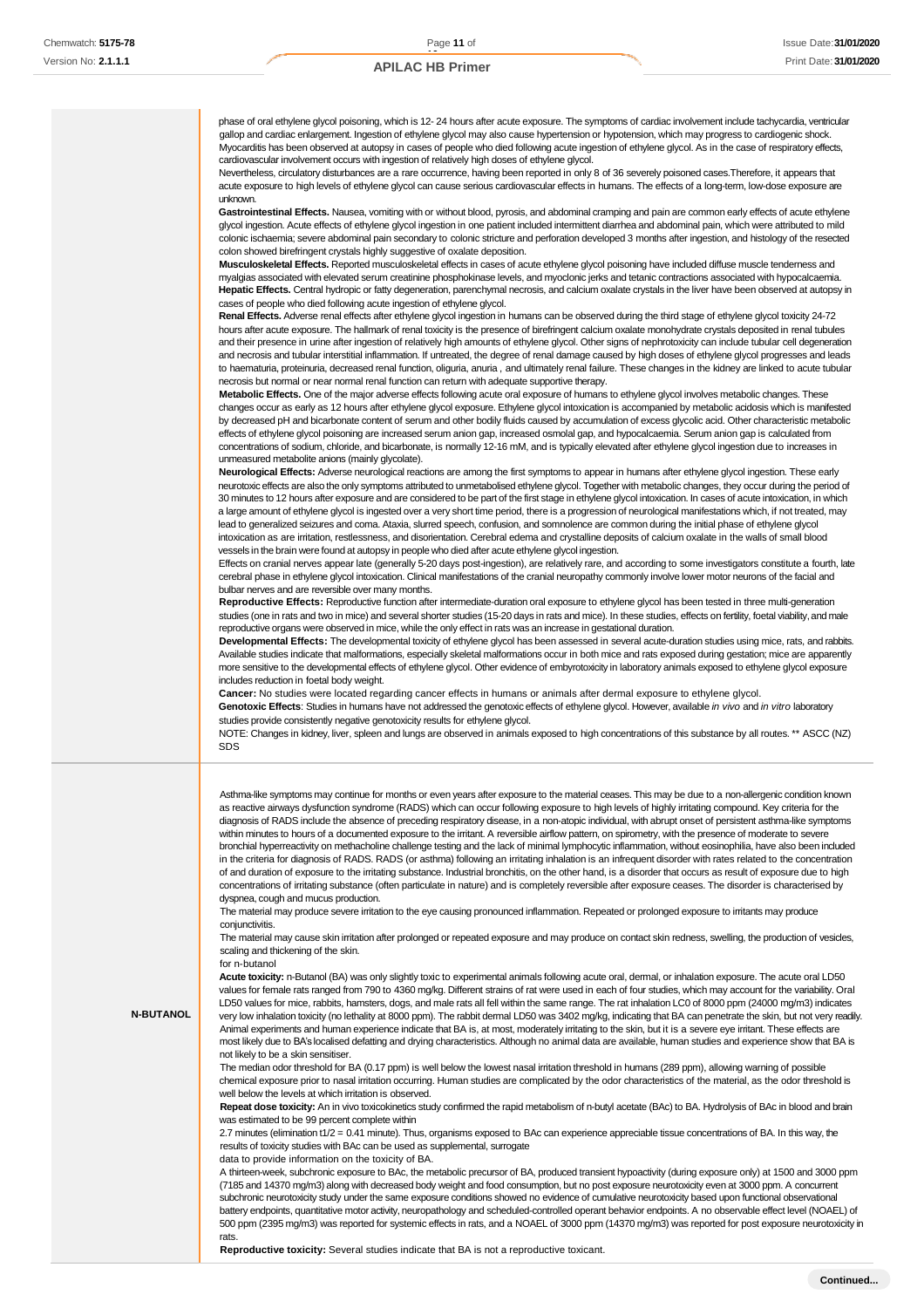phase of oral ethylene glycol poisoning, which is 12- 24 hours after acute exposure. The symptoms of cardiac involvement include tachycardia, ventricular gallop and cardiac enlargement. Ingestion of ethylene glycol may also cause hypertension or hypotension, which may progress to cardiogenic shock. Myocarditis has been observed at autopsy in cases of people who died following acute ingestion of ethylene glycol. As in the case of respiratory effects, cardiovascular involvement occurs with ingestion of relatively high doses of ethylene glycol.

Nevertheless, circulatory disturbances are a rare occurrence, having been reported in only 8 of 36 severely poisoned cases.Therefore, it appears that acute exposure to high levels of ethylene glycol can cause serious cardiovascular effects in humans. The effects of a long-term, low-dose exposure are unknown.

Gastrointestinal Effects. Nausea, vomiting with or without blood, pyrosis, and abdominal cramping and pain are common early effects of acute ethylene glycol ingestion. Acute effects of ethylene glycol ingestion in one patient included intermittent diarrhea and abdominal pain, which were attributed to mild colonic ischaemia; severe abdominal pain secondary to colonic stricture and perforation developed 3 months after ingestion, and histology of the resected colon showed birefringent crystals highly suggestive of oxalate deposition.

**Musculoskeletal Effects.** Reported musculoskeletal effects in cases of acute ethylene glycol poisoning have included diffuse muscle tenderness and myalgias associated with elevated serum creatinine phosphokinase levels, and myoclonic jerks and tetanic contractions associated with hypocalcaemia. **Hepatic Effects.** Central hydropic or fatty degeneration, parenchymal necrosis, and calcium oxalate crystals in the liver have been observed at autopsy in cases of people who died following acute ingestion of ethylene glycol.

**Renal Effects.** Adverse renal effects after ethylene glycol ingestion in humans can be observed during the third stage of ethylene glycol toxicity 24-72 hours after acute exposure. The hallmark of renal toxicity is the presence of birefringent calcium oxalate monohydrate crystals deposited in renal tubules and their presence in urine after ingestion of relatively high amounts of ethylene glycol. Other signs of nephrotoxicity can include tubular cell degeneration and necrosis and tubular interstitial inflammation. If untreated, the degree of renal damage caused by high doses of ethylene glycol progresses and leads to haematuria, proteinuria, decreased renal function, oliguria, anuria , and ultimately renal failure. These changes in the kidney are linked to acute tubular necrosis but normal or near normal renal function can return with adequate supportive therapy.

**Metabolic Effects.** One of the major adverse effects following acute oral exposure of humans to ethylene glycol involves metabolic changes. These changes occur as early as 12 hours after ethylene glycol exposure. Ethylene glycol intoxication is accompanied by metabolic acidosis which is manifested by decreased pH and bicarbonate content of serum and other bodily fluids caused by accumulation of excess glycolic acid. Other characteristic metabolic effects of ethylene glycol poisoning are increased serum anion gap, increased osmolal gap, and hypocalcaemia. Serum anion gap is calculated from concentrations of sodium, chloride, and bicarbonate, is normally 12-16 mM, and is typically elevated after ethylene glycol ingestion due to increases in unmeasured metabolite anions (mainly glycolate).

**Neurological Effects:** Adverse neurological reactions are among the first symptoms to appear in humans after ethylene glycol ingestion. These early neurotoxic effects are also the only symptoms attributed to unmetabolised ethylene glycol. Together with metabolic changes, they occur during the period of 30 minutes to 12 hours after exposure and are considered to be part of the first stage in ethylene glycol intoxication. In cases of acute intoxication, in which a large amount of ethylene glycol is ingested over a very short time period, there is a progression of neurological manifestations which, if not treated, may lead to generalized seizures and coma. Ataxia, slurred speech, confusion, and somnolence are common during the initial phase of ethylene glycol intoxication as are irritation, restlessness, and disorientation. Cerebral edema and crystalline deposits of calcium oxalate in the walls of small blood vessels in the brain were found at autopsy in people who died after acute ethylene glycol ingestion.

Effects on cranial nerves appear late (generally 5-20 days post-ingestion), are relatively rare, and according to some investigators constitute a fourth, late cerebral phase in ethylene glycol intoxication. Clinical manifestations of the cranial neuropathy commonly involve lower motor neurons of the facial and bulbar nerves and are reversible over many months.

**Reproductive Effects:** Reproductive function after intermediate-duration oral exposure to ethylene glycol has been tested in three multi-generation studies (one in rats and two in mice) and several shorter studies (15-20 days in rats and mice). In these studies, effects on fertility, foetal viability, and male reproductive organs were observed in mice, while the only effect in rats was an increase in gestational duration.

**Developmental Effects:** The developmental toxicity of ethylene glycol has been assessed in several acute-duration studies using mice, rats, and rabbits. Available studies indicate that malformations, especially skeletal malformations occur in both mice and rats exposed during gestation; mice are apparently more sensitive to the developmental effects of ethylene glycol. Other evidence of embyrotoxicity in laboratory animals exposed to ethylene glycol exposure includes reduction in foetal body weight.

**Cancer:** No studies were located regarding cancer effects in humans or animals after dermal exposure to ethylene glycol.

**Genotoxic Effects**: Studies in humans have not addressed the genotoxic effects of ethylene glycol. However, available *in vivo* and *in vitro* laboratory studies provide consistently negative genotoxicity results for ethylene glycol.

NOTE: Changes in kidney, liver, spleen and lungs are observed in animals exposed to high concentrations of this substance by all routes. \*\* ASCC (NZ) SDS

Asthma-like symptoms may continue for months or even years after exposure to the material ceases. This may be due to a non-allergenic condition known as reactive airways dysfunction syndrome (RADS) which can occur following exposure to high levels of highly irritating compound. Key criteria for the diagnosis of RADS include the absence of preceding respiratory disease, in a non-atopic individual, with abrupt onset of persistent asthma-like symptoms within minutes to hours of a documented exposure to the irritant. A reversible airflow pattern, on spirometry, with the presence of moderate to severe bronchial hyperreactivity on methacholine challenge testing and the lack of minimal lymphocytic inflammation, without eosinophilia, have also been included in the criteria for diagnosis of RADS. RADS (or asthma) following an irritating inhalation is an infrequent disorder with rates related to the concentration of and duration of exposure to the irritating substance. Industrial bronchitis, on the other hand, is a disorder that occurs as result of exposure due to high concentrations of irritating substance (often particulate in nature) and is completely reversible after exposure ceases. The disorder is characterised by dyspnea, cough and mucus production.

The material may produce severe irritation to the eye causing pronounced inflammation. Repeated or prolonged exposure to irritants may produce conjunctivitis.

The material may cause skin irritation after prolonged or repeated exposure and may produce on contact skin redness, swelling, the production of vesicles, scaling and thickening of the skin.

### for n-butanol

**N-BUTANOL**

**Acute toxicity:** n-Butanol (BA) was only slightly toxic to experimental animals following acute oral, dermal, or inhalation exposure. The acute oral LD50 values for female rats ranged from 790 to 4360 mg/kg. Different strains of rat were used in each of four studies, which may account for the variability. Oral LD50 values for mice, rabbits, hamsters, dogs, and male rats all fell within the same range. The rat inhalation LC0 of 8000 ppm (24000 mg/m3) indicates very low inhalation toxicity (no lethality at 8000 ppm). The rabbit dermal LD50 was 3402 mg/kg, indicating that BA can penetrate the skin, but not very readily. Animal experiments and human experience indicate that BA is, at most, moderately irritating to the skin, but it is a severe eye irritant. These effects are most likely due to BA's localised defatting and drying characteristics. Although no animal data are available, human studies and experience show that BA is not likely to be a skin sensitiser.

The median odor threshold for BA (0.17 ppm) is well below the lowest nasal irritation threshold in humans (289 ppm), allowing warning of possible chemical exposure prior to nasal irritation occurring. Human studies are complicated by the odor characteristics of the material, as the odor threshold is well below the levels at which irritation is observed.

Repeat dose toxicity: An in vivo toxicokinetics study confirmed the rapid metabolism of n-butyl acetate (BAc) to BA. Hydrolysis of BAc in blood and brain was estimated to be 99 percent complete within

2.7 minutes (elimination t1/2 = 0.41 minute). Thus, organisms exposed to BAc can experience appreciable tissue concentrations of BA. In this way, the results of toxicity studies with BAc can be used as supplemental, surrogate

data to provide information on the toxicity of BA.

A thirteen-week, subchronic exposure to BAc, the metabolic precursor of BA, produced transient hypoactivity (during exposure only) at 1500 and 3000 ppm (7185 and 14370 mg/m3) along with decreased body weight and food consumption, but no post exposure neurotoxicity even at 3000 ppm. A concurrent subchronic neurotoxicity study under the same exposure conditions showed no evidence of cumulative neurotoxicity based upon functional observational battery endpoints, quantitative motor activity, neuropathology and scheduled-controlled operant behavior endpoints. A no observable effect level (NOAEL) of 500 ppm (2395 mg/m3) was reported for systemic effects in rats, and a NOAEL of 3000 ppm (14370 mg/m3) was reported for post exposure neurotoxicity in rats.

**Reproductive toxicity:** Several studies indicate that BA is not a reproductive toxicant.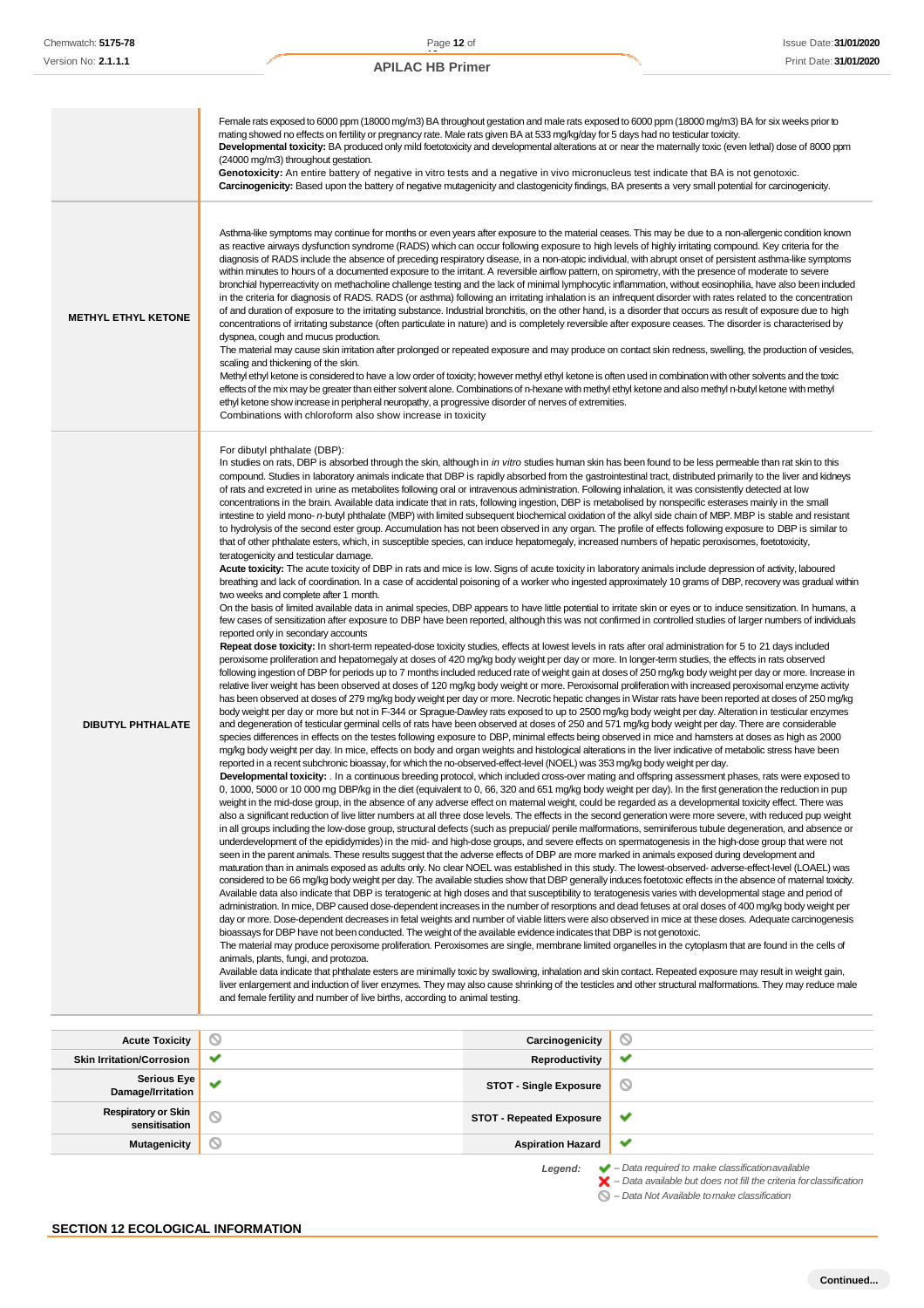|                                  | Female rats exposed to 6000 ppm (18000 mg/m3) BA throughout gestation and male rats exposed to 6000 ppm (18000 mg/m3) BA for six weeks prior to<br>mating showed no effects on fertility or pregnancy rate. Male rats given BA at 533 mg/kg/day for 5 days had no testicular toxicity.<br>Developmental toxicity: BA produced only mild foetotoxicity and developmental alterations at or near the maternally toxic (even lethal) dose of 8000 ppm<br>(24000 mg/m3) throughout gestation.<br>Genotoxicity: An entire battery of negative in vitro tests and a negative in vivo micronucleus test indicate that BA is not genotoxic.<br>Carcinogenicity: Based upon the battery of negative mutagenicity and clastogenicity findings, BA presents a very small potential for carcinogenicity.                                                                                                                                                                                                                                                                                                                                                                                                                                                                                                                                                                                                                                                                                                                                                                                                                                                                                                                                                                                                                                                                                                                                                                                                                                                                                                                                                                                                                                                                                                                                                                                                                                                                                                                                                                                                                                                                                                                                                                                                                                                                                                                                                                                                                                                                                                                                                                                                                                                                                                                                                                                                                                                                                                                                                                        |                 |                                                                                                                                                                                                                                                                                                                                                                                                                                                                                                                                                                                                                                                                                                                                                                                                                                                                                                                                                                                                                                                                                                                                                                                                                                                                                                                                                                                                                                                                                                                                                                                                                                                                                                                                                                                                                                                                                                                                                                                                                                                                                                                                                                                                                                                                                                                                                                                                                                                                                                                                                                                                         |
|----------------------------------|---------------------------------------------------------------------------------------------------------------------------------------------------------------------------------------------------------------------------------------------------------------------------------------------------------------------------------------------------------------------------------------------------------------------------------------------------------------------------------------------------------------------------------------------------------------------------------------------------------------------------------------------------------------------------------------------------------------------------------------------------------------------------------------------------------------------------------------------------------------------------------------------------------------------------------------------------------------------------------------------------------------------------------------------------------------------------------------------------------------------------------------------------------------------------------------------------------------------------------------------------------------------------------------------------------------------------------------------------------------------------------------------------------------------------------------------------------------------------------------------------------------------------------------------------------------------------------------------------------------------------------------------------------------------------------------------------------------------------------------------------------------------------------------------------------------------------------------------------------------------------------------------------------------------------------------------------------------------------------------------------------------------------------------------------------------------------------------------------------------------------------------------------------------------------------------------------------------------------------------------------------------------------------------------------------------------------------------------------------------------------------------------------------------------------------------------------------------------------------------------------------------------------------------------------------------------------------------------------------------------------------------------------------------------------------------------------------------------------------------------------------------------------------------------------------------------------------------------------------------------------------------------------------------------------------------------------------------------------------------------------------------------------------------------------------------------------------------------------------------------------------------------------------------------------------------------------------------------------------------------------------------------------------------------------------------------------------------------------------------------------------------------------------------------------------------------------------------------------------------------------------------------------------------------------------------------|-----------------|---------------------------------------------------------------------------------------------------------------------------------------------------------------------------------------------------------------------------------------------------------------------------------------------------------------------------------------------------------------------------------------------------------------------------------------------------------------------------------------------------------------------------------------------------------------------------------------------------------------------------------------------------------------------------------------------------------------------------------------------------------------------------------------------------------------------------------------------------------------------------------------------------------------------------------------------------------------------------------------------------------------------------------------------------------------------------------------------------------------------------------------------------------------------------------------------------------------------------------------------------------------------------------------------------------------------------------------------------------------------------------------------------------------------------------------------------------------------------------------------------------------------------------------------------------------------------------------------------------------------------------------------------------------------------------------------------------------------------------------------------------------------------------------------------------------------------------------------------------------------------------------------------------------------------------------------------------------------------------------------------------------------------------------------------------------------------------------------------------------------------------------------------------------------------------------------------------------------------------------------------------------------------------------------------------------------------------------------------------------------------------------------------------------------------------------------------------------------------------------------------------------------------------------------------------------------------------------------------------|
| <b>METHYL ETHYL KETONE</b>       | Asthma-like symptoms may continue for months or even years after exposure to the material ceases. This may be due to a non-allergenic condition known<br>as reactive airways dysfunction syndrome (RADS) which can occur following exposure to high levels of highly irritating compound. Key criteria for the<br>diagnosis of RADS include the absence of preceding respiratory disease, in a non-atopic individual, with abrupt onset of persistent asthma-like symptoms<br>within minutes to hours of a documented exposure to the irritant. A reversible airflow pattern, on spirometry, with the presence of moderate to severe<br>bronchial hyperreactivity on methacholine challenge testing and the lack of minimal lymphocytic inflammation, without eosinophilia, have also been included<br>in the criteria for diagnosis of RADS. RADS (or asthma) following an irritating inhalation is an infrequent disorder with rates related to the concentration<br>of and duration of exposure to the irritating substance. Industrial bronchitis, on the other hand, is a disorder that occurs as result of exposure due to high<br>concentrations of irritating substance (often particulate in nature) and is completely reversible after exposure ceases. The disorder is characterised by<br>dyspnea, cough and mucus production.<br>The material may cause skin irritation after prolonged or repeated exposure and may produce on contact skin redness, swelling, the production of vesides,<br>scaling and thickening of the skin.<br>Methyl ethyl ketone is considered to have a low order of toxicity; however methyl ethyl ketone is often used in combination with other solvents and the toxic<br>effects of the mix may be greater than either solvent alone. Combinations of n-hexane with methyl ethyl ketone and also methyl n-butyl ketone with methyl<br>ethyl ketone show increase in peripheral neuropathy, a progressive disorder of nerves of extremities.<br>Combinations with chloroform also show increase in toxicity                                                                                                                                                                                                                                                                                                                                                                                                                                                                                                                                                                                                                                                                                                                                                                                                                                                                                                                                                                                                                                                                                                                                                                                                                                                                                                                                                                                                                                                                                                                |                 |                                                                                                                                                                                                                                                                                                                                                                                                                                                                                                                                                                                                                                                                                                                                                                                                                                                                                                                                                                                                                                                                                                                                                                                                                                                                                                                                                                                                                                                                                                                                                                                                                                                                                                                                                                                                                                                                                                                                                                                                                                                                                                                                                                                                                                                                                                                                                                                                                                                                                                                                                                                                         |
| DIBUTYL PHTHALATE                | For dibutyl phthalate (DBP):<br>In studies on rats, DBP is absorbed through the skin, although in in vitro studies human skin has been found to be less permeable than rat skin to this<br>of rats and excreted in urine as metabolites following oral or intravenous administration. Following inhalation, it was consistently detected at low<br>concentrations in the brain. Available data indicate that in rats, following ingestion, DBP is metabolised by nonspecific esterases mainly in the small<br>to hydrolysis of the second ester group. Accumulation has not been observed in any organ. The profile of effects following exposure to DBP is similar to<br>that of other phthalate esters, which, in susceptible species, can induce hepatomegaly, increased numbers of hepatic peroxisomes, foetotoxicity,<br>teratogenicity and testicular damage.<br>Acute toxicity: The acute toxicity of DBP in rats and mice is low. Signs of acute toxicity in laboratory animals include depression of activity, laboured<br>two weeks and complete after 1 month.<br>reported only in secondary accounts<br>Repeat dose toxicity: In short-term repeated-dose toxicity studies, effects at lowest levels in rats after oral administration for 5 to 21 days included<br>peroxisome proliferation and hepatomegaly at doses of 420 mg/kg body weight per day or more. In longer-term studies, the effects in rats observed<br>body weight per day or more but not in F-344 or Sprague-Dawley rats exposed to up to 2500 mg/kg body weight per day. Alteration in testicular enzymes<br>and degeneration of testicular germinal cells of rats have been observed at doses of 250 and 571 mg/kg body weight per day. There are considerable<br>species differences in effects on the testes following exposure to DBP, minimal effects being observed in mice and hamsters at doses as high as 2000<br>mg/kg body weight per day. In mice, effects on body and organ weights and histological alterations in the liver indicative of metabolic stress have been<br>reported in a recent subchronic bioassay, for which the no-observed-effect-level (NOEL) was 353 mg/kg body weight per day.<br>0, 1000, 5000 or 10 000 mg DBP/kg in the diet (equivalent to 0, 66, 320 and 651 mg/kg body weight per day). In the first generation the reduction in pup<br>weight in the mid-dose group, in the absence of any adverse effect on maternal weight, could be regarded as a developmental toxicity effect. There was<br>underdevelopment of the epididymides) in the mid- and high-dose groups, and severe effects on spermatogenesis in the high-dose group that were not<br>seen in the parent animals. These results suggest that the adverse effects of DBP are more marked in animals exposed during development and<br>Available data also indicate that DBP is teratogenic at high doses and that susceptibility to teratogenesis varies with developmental stage and period of<br>bioassays for DBP have not been conducted. The weight of the available evidence indicates that DBP is not genotoxic.<br>The material may produce peroxisome proliferation. Peroxisomes are single, membrane limited organelles in the cytoplasm that are found in the cells of<br>animals, plants, fungi, and protozoa.<br>Available data indicate that phthalate esters are minimally toxic by swallowing, inhalation and skin contact. Repeated exposure may result in weight gain,<br>and female fertility and number of live births, according to animal testing. |                 | compound. Studies in laboratory animals indicate that DBP is rapidly absorbed from the gastrointestinal tract, distributed primarily to the liver and kidneys<br>intestine to yield mono- n-butyl phthalate (MBP) with limited subsequent biochemical oxidation of the alkyl side chain of MBP. MBP is stable and resistant<br>breathing and lack of coordination. In a case of accidental poisoning of a worker who ingested approximately 10 grams of DBP, recovery was gradual within<br>On the basis of limited available data in animal species, DBP appears to have little potential to irritate skin or eyes or to induce sensitization. In humans, a<br>few cases of sensitization after exposure to DBP have been reported, although this was not confirmed in controlled studies of larger numbers of individuals<br>following ingestion of DBP for periods up to 7 months included reduced rate of weight gain at doses of 250 mg/kg body weight per day or more. Increase in<br>relative liver weight has been observed at doses of 120 mg/kg body weight or more. Peroxisomal proliferation with increased peroxisomal enzyme activity<br>has been observed at doses of 279 mg/kg body weight per day or more. Necrotic hepatic changes in Wistar rats have been reported at doses of 250 mg/kg<br>Developmental toxicity: . In a continuous breeding protocol, which included cross-over mating and offspring assessment phases, rats were exposed to<br>also a significant reduction of live litter numbers at all three dose levels. The effects in the second generation were more severe, with reduced pup weight<br>in all groups including the low-dose group, structural defects (such as prepucial/penile malformations, seminiferous tubule degeneration, and absence or<br>maturation than in animals exposed as adults only. No clear NOEL was established in this study. The lowest-observed-adverse-effect-level (LOAEL) was<br>considered to be 66 mg/kg body weight per day. The available studies show that DBP generally induces foetotoxic effects in the absence of maternal toxicity.<br>administration. In mice, DBP caused dose-dependent increases in the number of resorptions and dead fetuses at oral doses of 400 mg/kg body weight per<br>day or more. Dose-dependent decreases in fetal weights and number of viable litters were also observed in mice at these doses. Adequate carcinogenesis<br>liver enlargement and induction of liver enzymes. They may also cause shrinking of the testicles and other structural malformations. They may reduce male |
|                                  |                                                                                                                                                                                                                                                                                                                                                                                                                                                                                                                                                                                                                                                                                                                                                                                                                                                                                                                                                                                                                                                                                                                                                                                                                                                                                                                                                                                                                                                                                                                                                                                                                                                                                                                                                                                                                                                                                                                                                                                                                                                                                                                                                                                                                                                                                                                                                                                                                                                                                                                                                                                                                                                                                                                                                                                                                                                                                                                                                                                                                                                                                                                                                                                                                                                                                                                                                                                                                                                                                                                                                                     |                 |                                                                                                                                                                                                                                                                                                                                                                                                                                                                                                                                                                                                                                                                                                                                                                                                                                                                                                                                                                                                                                                                                                                                                                                                                                                                                                                                                                                                                                                                                                                                                                                                                                                                                                                                                                                                                                                                                                                                                                                                                                                                                                                                                                                                                                                                                                                                                                                                                                                                                                                                                                                                         |
| <b>Acute Toxicity</b>            |                                                                                                                                                                                                                                                                                                                                                                                                                                                                                                                                                                                                                                                                                                                                                                                                                                                                                                                                                                                                                                                                                                                                                                                                                                                                                                                                                                                                                                                                                                                                                                                                                                                                                                                                                                                                                                                                                                                                                                                                                                                                                                                                                                                                                                                                                                                                                                                                                                                                                                                                                                                                                                                                                                                                                                                                                                                                                                                                                                                                                                                                                                                                                                                                                                                                                                                                                                                                                                                                                                                                                                     | Carcinogenicity | $\circ$                                                                                                                                                                                                                                                                                                                                                                                                                                                                                                                                                                                                                                                                                                                                                                                                                                                                                                                                                                                                                                                                                                                                                                                                                                                                                                                                                                                                                                                                                                                                                                                                                                                                                                                                                                                                                                                                                                                                                                                                                                                                                                                                                                                                                                                                                                                                                                                                                                                                                                                                                                                                 |
| <b>Skin Irritation/Corrosion</b> | ✔                                                                                                                                                                                                                                                                                                                                                                                                                                                                                                                                                                                                                                                                                                                                                                                                                                                                                                                                                                                                                                                                                                                                                                                                                                                                                                                                                                                                                                                                                                                                                                                                                                                                                                                                                                                                                                                                                                                                                                                                                                                                                                                                                                                                                                                                                                                                                                                                                                                                                                                                                                                                                                                                                                                                                                                                                                                                                                                                                                                                                                                                                                                                                                                                                                                                                                                                                                                                                                                                                                                                                                   | Reproductivity  | ✔                                                                                                                                                                                                                                                                                                                                                                                                                                                                                                                                                                                                                                                                                                                                                                                                                                                                                                                                                                                                                                                                                                                                                                                                                                                                                                                                                                                                                                                                                                                                                                                                                                                                                                                                                                                                                                                                                                                                                                                                                                                                                                                                                                                                                                                                                                                                                                                                                                                                                                                                                                                                       |

**Serious Eye Damage/Irritation STOT - Single Exposure**  $\circlearrowright$ **Respiratory or Skin STOT - Repeated Exposure**  $\checkmark$ **Mutagenicity CONSUMING CONSUMING CONSUMING CONSUMING CONSUMING CONSUMING CONSUMING CONSUMING CONSUMING CONSUMING CONSUMING CONSUMING CONSUMING CONSUMING CONSUMING CONSUMING CONSUMING CONSUMING CONSUMING CONSUMING CONSUM** Ÿ

*Legend: – Data required to make classificationavailable – Data available but does not fill the criteria forclassification*

*– Data Not Available tomake classification*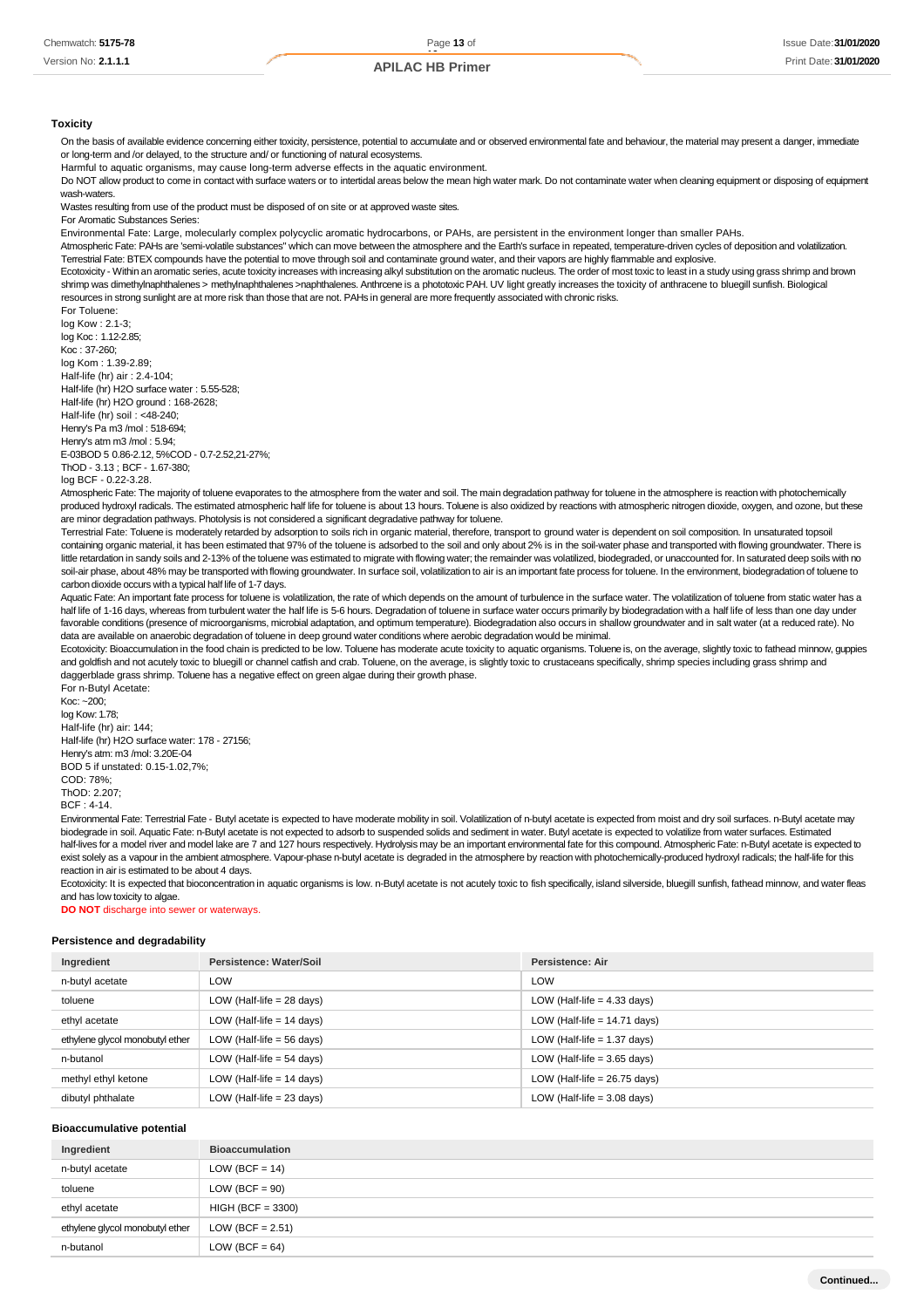**Toxicity**

On the basis of available evidence concerning either toxicity, persistence, potential to accumulate and or observed environmental fate and behaviour, the material may present a danger, immediate or long-term and /or delayed, to the structure and/ or functioning of natural ecosystems.

Harmful to aquatic organisms, may cause long-term adverse effects in the aquatic environment.

Do NOT allow product to come in contact with surface waters or to intertidal areas below the mean high water mark. Do not contaminate water when cleaning equipment or disposing of equipment wash-waters.

Wastes resulting from use of the product must be disposed of on site or at approved waste sites.

For Aromatic Substances Series:

Environmental Fate: Large, molecularly complex polycyclic aromatic hydrocarbons, or PAHs, are persistent in the environment longer than smaller PAHs.

Atmospheric Fate: PAHs are 'semi-volatile substances" which can move between the atmosphere and the Earth's surface in repeated, temperature-driven cycles of deposition and volatilization.

Terrestrial Fate: BTEX compounds have the potential to move through soil and contaminate ground water, and their vapors are highly flammable and explosive.

Ecotoxicity - Within an aromatic series, acute toxicity increases with increasing alkyl substitution on the aromatic nucleus. The order of most toxic to least in a study using grass shrimp and brown shrimp was dimethylnaphthalenes > methylnaphthalenes >naphthalenes. Anthrcene is a phototoxic PAH. UV light greatly increases the toxicity of anthracene to bluegill sunfish. Biological resources in strong sunlight are at more risk than those that are not. PAHs in general are more frequently associated with chronic risks.

For Toluene: log Kow : 2.1-3;

log Koc : 1.12-2.85; Koc : 37-260; log Kom : 1.39-2.89; Half-life (hr) air : 2.4-104; Half-life (hr) H2O surface water : 5.55-528; Half-life (hr) H2O ground : 168-2628; Half-life (hr) soil : <48-240; Henry's Pa m3 /mol : 518-694; Henry's atm m3 /mol : 5.94; E-03BOD 5 0.86-2.12, 5%COD - 0.7-2.52,21-27%; ThOD - 3.13 ; BCF - 1.67-380; log BCF - 0.22-3.28.

Atmospheric Fate: The majority of toluene evaporates to the atmosphere from the water and soil. The main degradation pathway for toluene in the atmosphere is reaction with photochemically produced hydroxyl radicals. The estimated atmospheric half life for toluene is about 13 hours. Toluene is also oxidized by reactions with atmospheric nitrogen dioxide, oxygen, and ozone, but these are minor degradation pathways. Photolysis is not considered a significant degradative pathway for toluene.

Terrestrial Fate: Toluene is moderately retarded by adsorption to soils rich in organic material, therefore, transport to ground water is dependent on soil composition. In unsaturated topsoil containing organic material, it has been estimated that 97% of the toluene is adsorbed to the soil and only about 2% is in the soil-water phase and transported with flowing groundwater. There is little retardation in sandy soils and 2-13% of the toluene was estimated to migrate with flowing water; the remainder was volatilized, biodegraded, or unaccounted for. In saturated deep soils with no soil-air phase, about 48% may be transported with flowing groundwater. In surface soil, volatilization to air is an important fate process for toluene. In the environment, biodegradation of toluene to carbon dioxide occurs with a typical half life of 1-7 days.

Aquatic Fate: An important fate process for toluene is volatilization, the rate of which depends on the amount of turbulence in the surface water. The volatilization of toluene from static water has a half life of 1-16 days, whereas from turbulent water the half life is 5-6 hours. Degradation of toluene in surface water occurs primarily by biodegradation with a half life of less than one day under favorable conditions (presence of microorganisms, microbial adaptation, and optimum temperature). Biodegradation also occurs in shallow groundwater and in salt water (at a reduced rate). No data are available on anaerobic degradation of toluene in deep ground water conditions where aerobic degradation would be minimal.

Ecotoxicity: Bioaccumulation in the food chain is predicted to be low. Toluene has moderate acute toxicity to aquatic organisms. Toluene is, on the average, slightly toxic to fathead minnow, guppies and goldfish and not acutely toxic to bluegill or channel catfish and crab. Toluene, on the average, is slightly toxic to crustaceans specifically, shrimp species including grass shrimp and daggerblade grass shrimp. Toluene has a negative effect on green algae during their growth phase. For n-Butyl Acetate:

Koc: ~200; log Kow: 1.78; Half-life (hr) air: 144; Half-life (hr) H2O surface water: 178 - 27156; Henry's atm: m3 /mol: 3.20E-04 BOD 5 if unstated: 0.15-1.02,7%; COD: 78%; ThOD: 2.207; BCF : 4-14.

Environmental Fate: Terrestrial Fate - Butyl acetate is expected to have moderate mobility in soil. Volatilization of n-butyl acetate is expected from moist and dry soil surfaces. n-Butyl acetate may biodegrade in soil. Aquatic Fate: n-Butyl acetate is not expected to adsorb to suspended solids and sediment in water. Butyl acetate is expected to volatilize from water surfaces. Estimated half-lives for a model river and model lake are 7 and 127 hours respectively. Hydrolysis may be an important environmental fate for this compound. Atmospheric Fate: n-Butyl acetate is expected to exist solely as a vapour in the ambient atmosphere. Vapour-phase n-butyl acetate is degraded in the atmosphere by reaction with photochemically-produced hydroxyl radicals; the half-life for this reaction in air is estimated to be about 4 days.

Ecotoxicity: It is expected that bioconcentration in aquatic organisms is low. n-Butyl acetate is not acutely toxic to fish specifically, island silverside, bluegill sunfish, fathead minnow, and water fleas and has low toxicity to algae.

**DO NOT** discharge into sewer or waterways.

### **Persistence and degradability**

| Ingredient                      | Persistence: Water/Soil     | Persistence: Air               |
|---------------------------------|-----------------------------|--------------------------------|
| n-butyl acetate                 | LOW                         | LOW                            |
| toluene                         | LOW (Half-life $= 28$ days) | LOW (Half-life $=$ 4.33 days)  |
| ethyl acetate                   | LOW (Half-life = 14 days)   | LOW (Half-life $= 14.71$ days) |
| ethylene glycol monobutyl ether | LOW (Half-life $=$ 56 days) | LOW (Half-life $= 1.37$ days)  |
| n-butanol                       | LOW (Half-life = 54 days)   | LOW (Half-life $=$ 3.65 days)  |
| methyl ethyl ketone             | LOW (Half-life = 14 days)   | LOW (Half-life $= 26.75$ days) |
| dibutyl phthalate               | LOW (Half-life = 23 days)   | LOW (Half-life $=$ 3.08 days)  |

### **Bioaccumulative potential**

| Ingredient                      | <b>Bioaccumulation</b> |
|---------------------------------|------------------------|
| n-butyl acetate                 | LOW (BCF = $14$ )      |
| toluene                         | $LOW (BCF = 90)$       |
| ethyl acetate                   | $HIGH (BCF = 3300)$    |
| ethylene glycol monobutyl ether | LOW (BCF = $2.51$ )    |
| n-butanol                       | LOW (BCF = $64$ )      |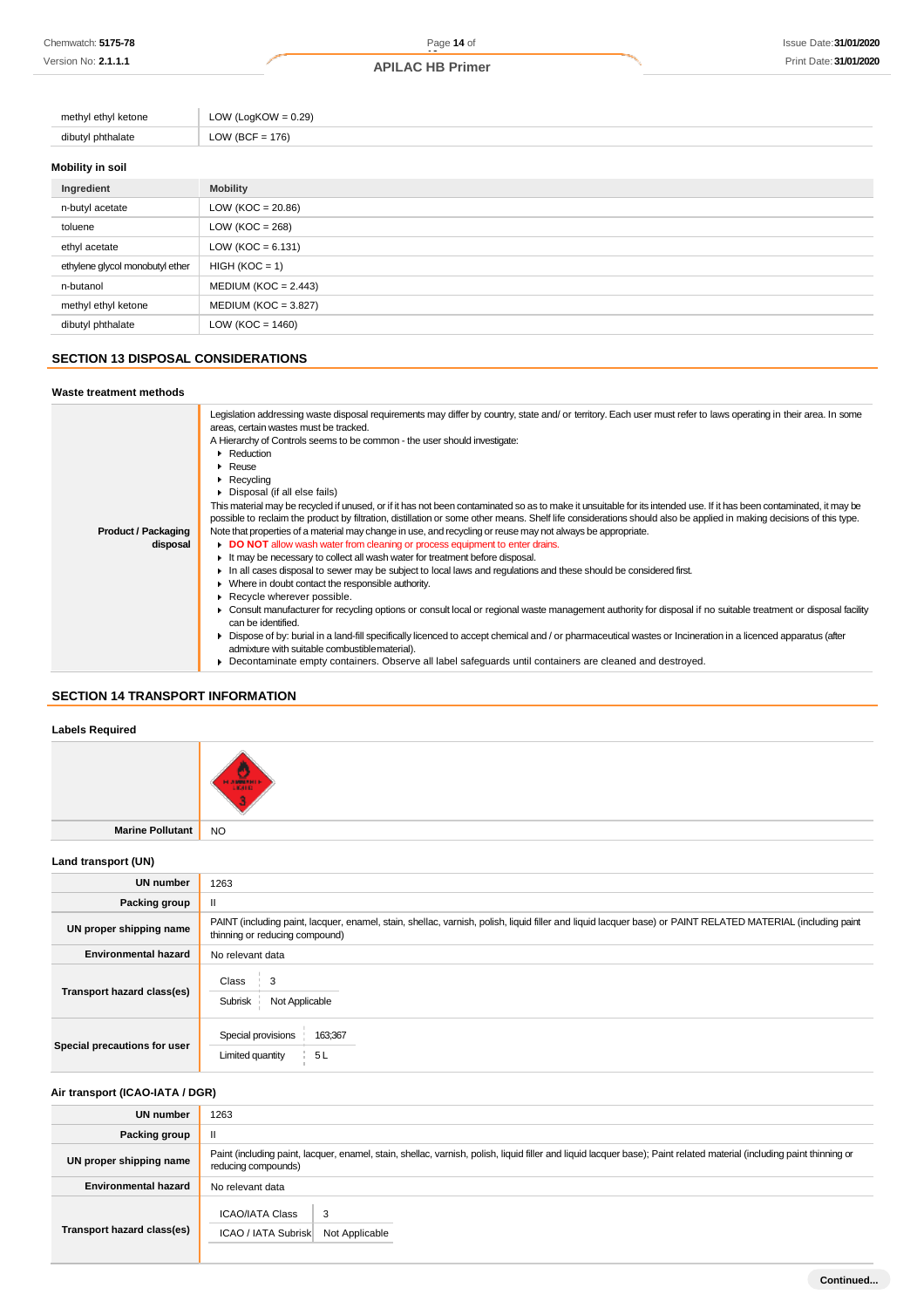| methyl ethyl ketone | LOW (LogKOW = $0.29$ ) |
|---------------------|------------------------|
| dibutyl phthalate   | LOW (BCF = $176$ )     |
| Mobility in soil    |                        |
| Ingredient          | <b>Mobility</b>        |
|                     |                        |

| n-butyl acetate                 | LOW ( $KOC = 20.86$ )   |
|---------------------------------|-------------------------|
| toluene                         | LOW ( $KOC = 268$ )     |
| ethyl acetate                   | LOW ( $KOC = 6.131$ )   |
| ethylene glycol monobutyl ether | $HIGH (KOC = 1)$        |
| n-butanol                       | $MEDIUM (KOC = 2.443)$  |
| methyl ethyl ketone             | MEDIUM (KOC = $3.827$ ) |
| dibutyl phthalate               | LOW ( $KOC = 1460$ )    |

## **SECTION 13 DISPOSAL CONSIDERATIONS**

### **Waste treatment methods**

|                            | Legislation addressing waste disposal requirements may differ by country, state and/ or territory. Each user must refer to laws operating in their area. In some     |
|----------------------------|----------------------------------------------------------------------------------------------------------------------------------------------------------------------|
|                            | areas, certain wastes must be tracked.                                                                                                                               |
|                            | A Hierarchy of Controls seems to be common - the user should investigate:                                                                                            |
|                            | Reduction                                                                                                                                                            |
|                            | Reuse                                                                                                                                                                |
|                            | Recycling                                                                                                                                                            |
|                            | Disposal (if all else fails)                                                                                                                                         |
|                            | This material may be recycled if unused, or if it has not been contaminated so as to make it unsuitable for its intended use. If it has been contaminated, it may be |
|                            | possible to reclaim the product by filtration, distillation or some other means. Shelf life considerations should also be applied in making decisions of this type.  |
| <b>Product / Packaging</b> | Note that properties of a material may change in use, and recycling or reuse may not always be appropriate.                                                          |
| disposal                   | DO NOT allow wash water from cleaning or process equipment to enter drains.                                                                                          |
|                            | It may be necessary to collect all wash water for treatment before disposal.                                                                                         |
|                            | In all cases disposal to sewer may be subject to local laws and regulations and these should be considered first.                                                    |
|                            | • Where in doubt contact the responsible authority.                                                                                                                  |
|                            | Recycle wherever possible.                                                                                                                                           |
|                            | Consult manufacturer for recycling options or consult local or regional waste management authority for disposal if no suitable treatment or disposal facility        |
|                            | can be identified.                                                                                                                                                   |
|                            | Dispose of by: burial in a land-fill specifically licenced to accept chemical and / or pharmaceutical wastes or Incineration in a licenced apparatus (after          |
|                            | admixture with suitable combustible material).                                                                                                                       |
|                            | Decontaminate empty containers. Observe all label safeguards until containers are cleaned and destroyed.                                                             |

## **SECTION 14 TRANSPORT INFORMATION**

## **Labels Required**



**Marine Pollutant** NO

## **Land transport (UN)**

| <b>UN number</b>             | 1263                                                                                                                                                                                          |  |
|------------------------------|-----------------------------------------------------------------------------------------------------------------------------------------------------------------------------------------------|--|
| Packing group                |                                                                                                                                                                                               |  |
| UN proper shipping name      | PAINT (including paint, lacquer, enamel, stain, shellac, varnish, polish, liquid filler and liquid lacquer base) or PAINT RELATED MATERIAL (including paint<br>thinning or reducing compound) |  |
| <b>Environmental hazard</b>  | No relevant data                                                                                                                                                                              |  |
| Transport hazard class(es)   | Class<br>3<br>Subrisk<br>Not Applicable                                                                                                                                                       |  |
| Special precautions for user | Special provisions<br>163;367<br>Limited quantity<br>5L                                                                                                                                       |  |

## **Air transport (ICAO-IATA / DGR)**

| UN number                   | 1263                                                                                                                                                                                         |  |
|-----------------------------|----------------------------------------------------------------------------------------------------------------------------------------------------------------------------------------------|--|
| Packing group               | $\mathbf{H}$                                                                                                                                                                                 |  |
| UN proper shipping name     | Paint (including paint, lacquer, enamel, stain, shellac, varnish, polish, liquid filler and liquid lacquer base); Paint related material (including paint thinning or<br>reducing compounds) |  |
| <b>Environmental hazard</b> | No relevant data                                                                                                                                                                             |  |
| Transport hazard class(es)  | <b>ICAO/IATA Class</b><br>3<br>ICAO / IATA Subrisk<br>Not Applicable                                                                                                                         |  |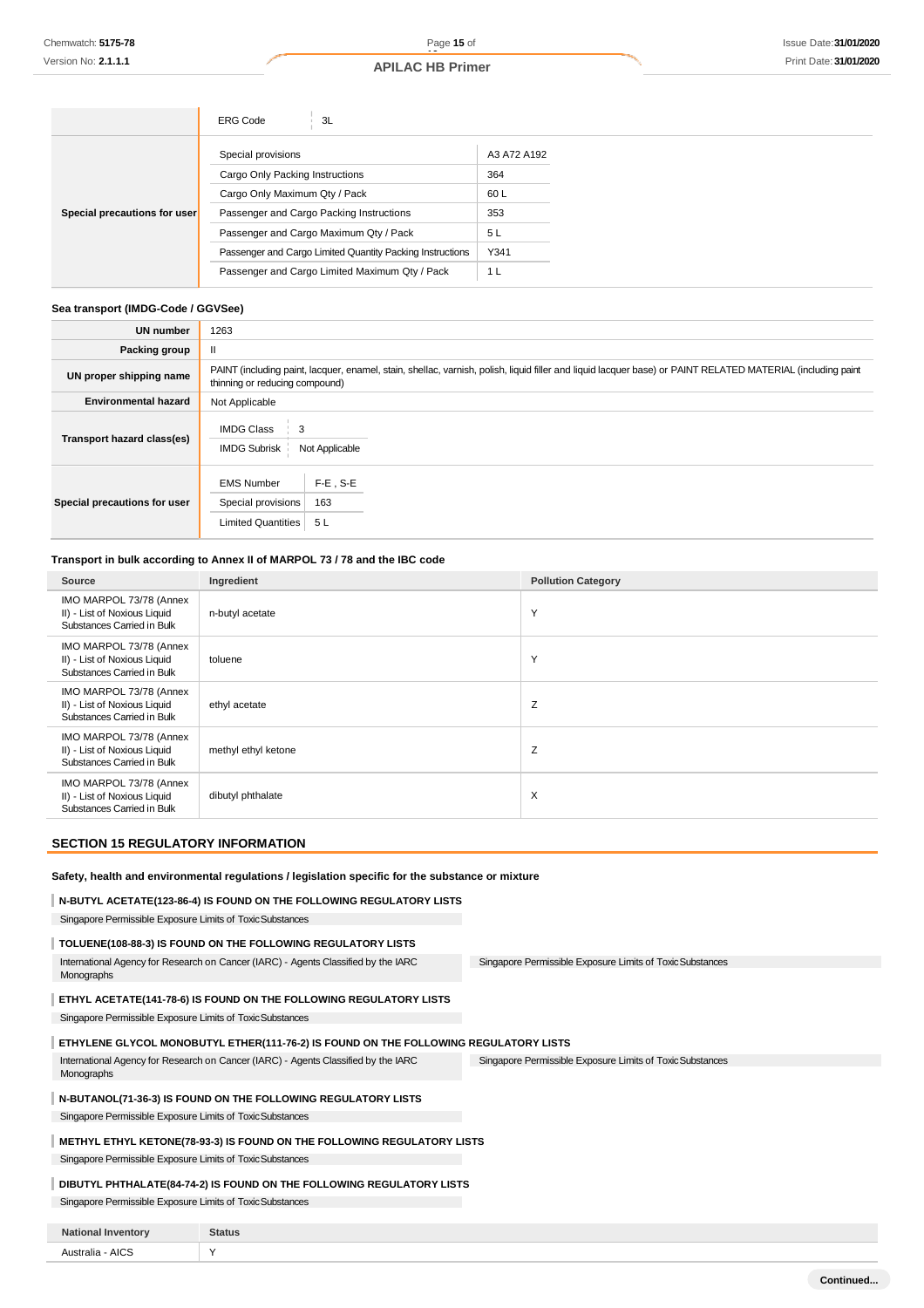|                              | <b>ERG Code</b><br>3L                                     |             |
|------------------------------|-----------------------------------------------------------|-------------|
|                              | Special provisions                                        | A3 A72 A192 |
|                              | Cargo Only Packing Instructions                           | 364         |
|                              | Cargo Only Maximum Qty / Pack                             | 60 L        |
| Special precautions for user | Passenger and Cargo Packing Instructions                  | 353         |
|                              | Passenger and Cargo Maximum Qty / Pack                    | 5 L         |
|                              | Passenger and Cargo Limited Quantity Packing Instructions | Y341        |
|                              | Passenger and Cargo Limited Maximum Qty / Pack            | 1 L         |

## **Sea transport (IMDG-Code / GGVSee)**

| <b>UN number</b>             | 1263                                                                                                                                                                                          |  |  |
|------------------------------|-----------------------------------------------------------------------------------------------------------------------------------------------------------------------------------------------|--|--|
| Packing group                | Ш                                                                                                                                                                                             |  |  |
| UN proper shipping name      | PAINT (including paint, lacquer, enamel, stain, shellac, varnish, polish, liquid filler and liquid lacquer base) or PAINT RELATED MATERIAL (including paint<br>thinning or reducing compound) |  |  |
| <b>Environmental hazard</b>  | Not Applicable                                                                                                                                                                                |  |  |
| Transport hazard class(es)   | <b>IMDG Class</b><br>3<br><b>IMDG Subrisk</b><br>Not Applicable                                                                                                                               |  |  |
| Special precautions for user | $F-E$ , S-E<br><b>EMS Number</b><br>Special provisions<br>163<br><b>Limited Quantities</b><br>5 L                                                                                             |  |  |

## **Transport in bulk according to Annex II of MARPOL 73 / 78 and the IBC code**

| Source                                                                                | Ingredient          | <b>Pollution Category</b> |
|---------------------------------------------------------------------------------------|---------------------|---------------------------|
| IMO MARPOL 73/78 (Annex<br>II) - List of Noxious Liquid<br>Substances Carried in Bulk | n-butyl acetate     | Y                         |
| IMO MARPOL 73/78 (Annex<br>II) - List of Noxious Liquid<br>Substances Carried in Bulk | toluene             | Υ                         |
| IMO MARPOL 73/78 (Annex<br>II) - List of Noxious Liquid<br>Substances Carried in Bulk | ethyl acetate       | Z                         |
| IMO MARPOL 73/78 (Annex<br>II) - List of Noxious Liquid<br>Substances Carried in Bulk | methyl ethyl ketone | Ζ                         |
| IMO MARPOL 73/78 (Annex<br>II) - List of Noxious Liquid<br>Substances Carried in Bulk | dibutyl phthalate   | X                         |

## **SECTION 15 REGULATORY INFORMATION**

## **Safety, health and environmental regulations / legislation specific for the substance or mixture N-BUTYL ACETATE(123-86-4) IS FOUND ON THE FOLLOWING REGULATORY LISTS**

 Singapore Permissible Exposure Limits of ToxicSubstances **TOLUENE(108-88-3) IS FOUND ON THE FOLLOWING REGULATORY LISTS** International Agency for Research on Cancer (IARC) - Agents Classified by the IARC Monographs

Singapore Permissible Exposure Limits of ToxicSubstances

Singapore Permissible Exposure Limits of ToxicSubstances

## **ETHYL ACETATE(141-78-6) IS FOUND ON THE FOLLOWING REGULATORY LISTS** Singapore Permissible Exposure Limits of ToxicSubstances

**ETHYLENE GLYCOL MONOBUTYL ETHER(111-76-2) IS FOUND ON THE FOLLOWING REGULATORY LISTS**

International Agency for Research on Cancer (IARC) - Agents Classified by the IARC Monographs

### **N-BUTANOL(71-36-3) IS FOUND ON THE FOLLOWING REGULATORY LISTS**

Singapore Permissible Exposure Limits of ToxicSubstances

### **METHYL ETHYL KETONE(78-93-3) IS FOUND ON THE FOLLOWING REGULATORY LISTS**

Singapore Permissible Exposure Limits of ToxicSubstances

## **DIBUTYL PHTHALATE(84-74-2) IS FOUND ON THE FOLLOWING REGULATORY LISTS**

Singapore Permissible Exposure Limits of Toxic Substances

| <b>National Inventory</b> | <b>Status</b> |
|---------------------------|---------------|
| Australia - AICS          |               |